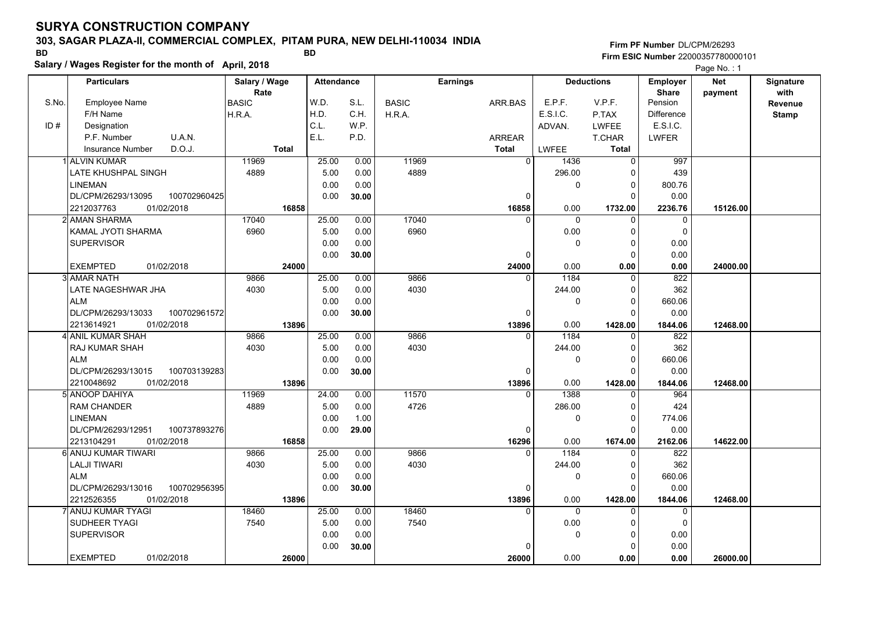## **303, SAGAR PLAZA-II, COMMERCIAL COMPLEX, PITAM PURA, NEW DELHI-110034 INDIA**

**Salary / Wages Register for the month of April, 2018 BD BD Firm PF Number**DL/CPM/26293**Firm ESIC Number** 22000357780000101

|       | <b>Particulars</b>                 | Salary / Wage        |       | <b>Attendance</b> |       |              | <b>Earnings</b> |                        | <b>Deductions</b> | Employer                | <b>Net</b> | <b>Signature</b><br>with |
|-------|------------------------------------|----------------------|-------|-------------------|-------|--------------|-----------------|------------------------|-------------------|-------------------------|------------|--------------------------|
| S.No. | Employee Name                      | Rate<br><b>BASIC</b> |       | W.D.              | S.L.  | <b>BASIC</b> | ARR.BAS         | E.P.F.                 | V.P.F.            | <b>Share</b><br>Pension | payment    | Revenue                  |
|       | F/H Name                           | H.R.A.               |       | H.D.              | C.H.  | H.R.A.       |                 | E.S.I.C.               | P.TAX             | Difference              |            | <b>Stamp</b>             |
| ID#   | Designation                        |                      |       | C.L.              | W.P.  |              |                 | ADVAN.                 | <b>LWFEE</b>      | E.S.I.C.                |            |                          |
|       | U.A.N.<br>P.F. Number              |                      |       | E.L.              | P.D.  |              | <b>ARREAR</b>   |                        | T.CHAR            | <b>LWFER</b>            |            |                          |
|       | D.O.J.<br>Insurance Number         | <b>Total</b>         |       |                   |       |              | <b>Total</b>    | LWFEE                  | <b>Total</b>      |                         |            |                          |
|       | 1İ ALVIN KUMAR                     | 11969                |       | 25.00             | 0.00  | 11969        |                 | $\overline{0}$<br>1436 | 0                 | 997                     |            |                          |
|       | LATE KHUSHPAL SINGH                | 4889                 |       | 5.00              | 0.00  | 4889         |                 | 296.00                 | $\mathbf 0$       | 439                     |            |                          |
|       | <b>LINEMAN</b>                     |                      |       | 0.00              | 0.00  |              |                 | $\Omega$               | $\pmb{0}$         | 800.76                  |            |                          |
|       | 100702960425<br>DL/CPM/26293/13095 |                      |       | 0.00              | 30.00 |              | $\mathbf 0$     |                        | $\Omega$          | 0.00                    |            |                          |
|       | 2212037763<br>01/02/2018           |                      | 16858 |                   |       |              | 16858           | 0.00                   | 1732.00           | 2236.76                 | 15126.00   |                          |
|       | 2 AMAN SHARMA                      | 17040                |       | 25.00             | 0.00  | 17040        | $\mathbf{0}$    | $\Omega$               | 0                 | 0                       |            |                          |
|       | KAMAL JYOTI SHARMA                 | 6960                 |       | 5.00              | 0.00  | 6960         |                 | 0.00                   | $\pmb{0}$         | 0                       |            |                          |
|       | <b>SUPERVISOR</b>                  |                      |       | 0.00              | 0.00  |              |                 | $\Omega$               | $\mathbf 0$       | 0.00                    |            |                          |
|       |                                    |                      |       | 0.00              | 30.00 |              | $\Omega$        |                        | $\Omega$          | 0.00                    |            |                          |
|       | 01/02/2018<br><b>EXEMPTED</b>      |                      | 24000 |                   |       |              | 24000           | 0.00                   | 0.00              | 0.00                    | 24000.00   |                          |
|       | 3 AMAR NATH                        | 9866                 |       | 25.00             | 0.00  | 9866         | $\Omega$        | 1184                   | 0                 | 822                     |            |                          |
|       | LATE NAGESHWAR JHA                 | 4030                 |       | 5.00              | 0.00  | 4030         |                 | 244.00                 | $\mathbf 0$       | 362                     |            |                          |
|       | <b>ALM</b>                         |                      |       | 0.00              | 0.00  |              |                 | $\Omega$               | $\mathbf 0$       | 660.06                  |            |                          |
|       | 100702961572<br>DL/CPM/26293/13033 |                      |       | 0.00              | 30.00 |              | $\Omega$        |                        | $\Omega$          | 0.00                    |            |                          |
|       | 01/02/2018<br>2213614921           |                      | 13896 |                   |       |              | 13896           | 0.00                   | 1428.00           | 1844.06                 | 12468.00   |                          |
|       | 4 ANIL KUMAR SHAH                  | 9866                 |       | 25.00             | 0.00  | 9866         | 0               | 1184                   | 0                 | 822                     |            |                          |
|       | RAJ KUMAR SHAH                     | 4030                 |       | 5.00              | 0.00  | 4030         |                 | 244.00                 | $\mathbf 0$       | 362                     |            |                          |
|       | <b>ALM</b>                         |                      |       | 0.00              | 0.00  |              |                 | $\Omega$               | $\pmb{0}$         | 660.06                  |            |                          |
|       | DL/CPM/26293/13015<br>100703139283 |                      |       | 0.00              | 30.00 |              | $\Omega$        |                        | 0                 | 0.00                    |            |                          |
|       | 2210048692<br>01/02/2018           |                      | 13896 |                   |       |              | 13896           | 0.00                   | 1428.00           | 1844.06                 | 12468.00   |                          |
|       | 5 ANOOP DAHIYA                     | 11969                |       | 24.00             | 0.00  | 11570        | $\Omega$        | 1388                   | 0                 | 964                     |            |                          |
|       | <b>RAM CHANDER</b>                 | 4889                 |       | 5.00              | 0.00  | 4726         |                 | 286.00                 | $\mathbf 0$       | 424                     |            |                          |
|       | <b>LINEMAN</b>                     |                      |       | 0.00              | 1.00  |              |                 | $\Omega$               | $\mathbf 0$       | 774.06                  |            |                          |
|       | DL/CPM/26293/12951<br>100737893276 |                      |       | 0.00              | 29.00 |              | $\mathbf 0$     |                        | 0                 | 0.00                    |            |                          |
|       | 2213104291<br>01/02/2018           |                      | 16858 |                   |       |              | 16296           | 0.00                   | 1674.00           | 2162.06                 | 14622.00   |                          |
|       | 6 ANUJ KUMAR TIWARI                | 9866                 |       | 25.00             | 0.00  | 9866         | $\Omega$        | 1184                   | $\Omega$          | 822                     |            |                          |
|       | <b>LALJI TIWARI</b>                | 4030                 |       | 5.00              | 0.00  | 4030         |                 | 244.00                 | 0                 | 362                     |            |                          |
|       | <b>ALM</b>                         |                      |       | 0.00              | 0.00  |              |                 | $\Omega$               | $\mathsf 0$       | 660.06                  |            |                          |
|       | DL/CPM/26293/13016<br>100702956395 |                      |       | 0.00              | 30.00 |              | $\mathbf 0$     |                        | $\Omega$          | 0.00                    |            |                          |
|       | 2212526355<br>01/02/2018           |                      | 13896 |                   |       |              | 13896           | 0.00                   | 1428.00           | 1844.06                 | 12468.00   |                          |
|       | 7 ANUJ KUMAR TYAGI                 | 18460                |       | 25.00             | 0.00  | 18460        | $\Omega$        | $\Omega$               | $\overline{0}$    | 0                       |            |                          |
|       | <b>SUDHEER TYAGI</b>               | 7540                 |       | 5.00              | 0.00  | 7540         |                 | 0.00                   | 0                 | 0                       |            |                          |
|       | <b>SUPERVISOR</b>                  |                      |       | 0.00              | 0.00  |              |                 | $\mathbf 0$            | $\mathsf 0$       | 0.00                    |            |                          |
|       |                                    |                      |       | 0.00              | 30.00 |              | $\Omega$        |                        | $\mathbf{0}$      | 0.00                    |            |                          |
|       | <b>EXEMPTED</b><br>01/02/2018      |                      | 26000 |                   |       |              | 26000           | 0.00                   | 0.00              | 0.00                    | 26000.00   |                          |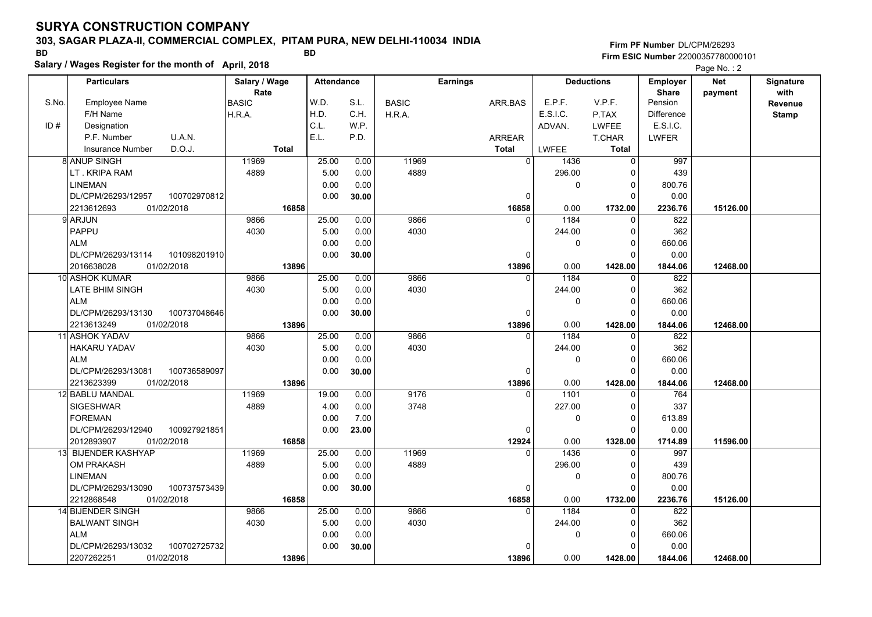## **303, SAGAR PLAZA-II, COMMERCIAL COMPLEX, PITAM PURA, NEW DELHI-110034 INDIA**

**Salary / Wages Register for the month of April, 2018 BD BD**

### **Firm PF Number**DL/CPM/26293**Firm ESIC Number** 22000357780000101

|       | <b>Particulars</b>                |              | Salary / Wage        |              | <b>Attendance</b> |       |              | <b>Earnings</b> |                |              | <b>Deductions</b> | Employer                | <b>Net</b> | Signature       |
|-------|-----------------------------------|--------------|----------------------|--------------|-------------------|-------|--------------|-----------------|----------------|--------------|-------------------|-------------------------|------------|-----------------|
| S.No. | <b>Employee Name</b>              |              | Rate<br><b>BASIC</b> |              | W.D.              | S.L.  | <b>BASIC</b> | ARR.BAS         |                | E.P.F.       | V.P.F.            | <b>Share</b><br>Pension | payment    | with<br>Revenue |
|       | F/H Name                          |              | H.R.A.               |              | H.D.              | C.H.  | H.R.A.       |                 |                | E.S.I.C.     | P.TAX             | <b>Difference</b>       |            | <b>Stamp</b>    |
| ID#   | Designation                       |              |                      |              | C.L.              | W.P.  |              |                 |                | ADVAN.       | LWFEE             | E.S.I.C.                |            |                 |
|       | P.F. Number<br>U.A.N.             |              |                      |              | E.L.              | P.D.  |              | ARREAR          |                |              | T.CHAR            | <b>LWFER</b>            |            |                 |
|       | D.O.J.<br><b>Insurance Number</b> |              |                      | <b>Total</b> |                   |       |              | <b>Total</b>    |                | <b>LWFEE</b> | <b>Total</b>      |                         |            |                 |
|       | 8 ANUP SINGH                      |              | 11969                |              | 25.00             | 0.00  | 11969        |                 | $\overline{0}$ | 1436         | $\mathbf 0$       | 997                     |            |                 |
|       | LT. KRIPA RAM                     |              | 4889                 |              | 5.00              | 0.00  | 4889         |                 |                | 296.00       | $\Omega$          | 439                     |            |                 |
|       | <b>LINEMAN</b>                    |              |                      |              | 0.00              | 0.00  |              |                 |                | 0            | $\mathbf 0$       | 800.76                  |            |                 |
|       | DL/CPM/26293/12957                | 100702970812 |                      |              | 0.00              | 30.00 |              |                 | 0              |              | $\Omega$          | 0.00                    |            |                 |
|       | 2213612693<br>01/02/2018          |              |                      | 16858        |                   |       |              |                 | 16858          | 0.00         | 1732.00           | 2236.76                 | 15126.00   |                 |
|       | 9 ARJUN                           |              | 9866                 |              | 25.00             | 0.00  | 9866         |                 | $\Omega$       | 1184         | $\Omega$          | 822                     |            |                 |
|       | PAPPU                             |              | 4030                 |              | 5.00              | 0.00  | 4030         |                 |                | 244.00       | $\mathbf 0$       | 362                     |            |                 |
|       | <b>ALM</b>                        |              |                      |              | 0.00              | 0.00  |              |                 |                | 0            | $\mathbf 0$       | 660.06                  |            |                 |
|       | DL/CPM/26293/13114                | 101098201910 |                      |              | 0.00              | 30.00 |              |                 | 0              |              | $\mathbf 0$       | 0.00                    |            |                 |
|       | 2016638028<br>01/02/2018          |              |                      | 13896        |                   |       |              |                 | 13896          | 0.00         | 1428.00           | 1844.06                 | 12468.00   |                 |
|       | 10 ASHOK KUMAR                    |              | 9866                 |              | 25.00             | 0.00  | 9866         |                 | $\Omega$       | 1184         | $\Omega$          | 822                     |            |                 |
|       | LATE BHIM SINGH                   |              | 4030                 |              | 5.00              | 0.00  | 4030         |                 |                | 244.00       | 0                 | 362                     |            |                 |
|       | <b>ALM</b>                        |              |                      |              | 0.00              | 0.00  |              |                 |                | 0            | $\mathbf 0$       | 660.06                  |            |                 |
|       | DL/CPM/26293/13130                | 100737048646 |                      |              | 0.00              | 30.00 |              |                 | $\Omega$       |              | $\Omega$          | 0.00                    |            |                 |
|       | 01/02/2018<br>2213613249          |              |                      | 13896        |                   |       |              |                 | 13896          | 0.00         | 1428.00           | 1844.06                 | 12468.00   |                 |
|       | 11 ASHOK YADAV                    |              | 9866                 |              | 25.00             | 0.00  | 9866         |                 | 0              | 1184         | 0                 | 822                     |            |                 |
|       | <b>HAKARU YADAV</b>               |              | 4030                 |              | 5.00              | 0.00  | 4030         |                 |                | 244.00       | 0                 | 362                     |            |                 |
|       | <b>ALM</b>                        |              |                      |              | 0.00              | 0.00  |              |                 |                | 0            | 0                 | 660.06                  |            |                 |
|       | DL/CPM/26293/13081                | 100736589097 |                      |              | 0.00              | 30.00 |              |                 | $\Omega$       |              | $\Omega$          | 0.00                    |            |                 |
|       | 2213623399<br>01/02/2018          |              |                      | 13896        |                   |       |              |                 | 13896          | 0.00         | 1428.00           | 1844.06                 | 12468.00   |                 |
|       | 12 BABLU MANDAL                   |              | 11969                |              | 19.00             | 0.00  | 9176         |                 | $\Omega$       | 1101         | 0                 | 764                     |            |                 |
|       | <b>SIGESHWAR</b>                  |              | 4889                 |              | 4.00              | 0.00  | 3748         |                 |                | 227.00       | 0                 | 337                     |            |                 |
|       | <b>FOREMAN</b>                    |              |                      |              | 0.00              | 7.00  |              |                 |                | 0            | $\mathbf 0$       | 613.89                  |            |                 |
|       | DL/CPM/26293/12940                | 100927921851 |                      |              | 0.00              | 23.00 |              |                 | 0              |              | $\Omega$          | 0.00                    |            |                 |
|       | 2012893907<br>01/02/2018          |              |                      | 16858        |                   |       |              |                 | 12924          | 0.00         | 1328.00           | 1714.89                 | 11596.00   |                 |
|       | <b>BIJENDER KASHYAP</b>           |              | 11969                |              | 25.00             | 0.00  | 11969        |                 | $\Omega$       | 1436         | $\mathbf 0$       | 997                     |            |                 |
|       | <b>OM PRAKASH</b>                 |              | 4889                 |              | 5.00              | 0.00  | 4889         |                 |                | 296.00       | 0                 | 439                     |            |                 |
|       | <b>LINEMAN</b>                    |              |                      |              | 0.00              | 0.00  |              |                 |                | 0            | $\mathbf 0$       | 800.76                  |            |                 |
|       | DL/CPM/26293/13090                | 100737573439 |                      |              | 0.00              | 30.00 |              |                 | 0              |              | $\Omega$          | 0.00                    |            |                 |
|       | 2212868548<br>01/02/2018          |              |                      | 16858        |                   |       |              |                 | 16858          | 0.00         | 1732.00           | 2236.76                 | 15126.00   |                 |
|       | 14 BIJENDER SINGH                 |              | 9866                 |              | 25.00             | 0.00  | 9866         |                 | $\Omega$       | 1184         | 0                 | 822                     |            |                 |
|       | <b>BALWANT SINGH</b>              |              | 4030                 |              | 5.00              | 0.00  | 4030         |                 |                | 244.00       | 0                 | 362                     |            |                 |
|       | <b>ALM</b>                        |              |                      |              | 0.00              | 0.00  |              |                 |                | 0            | 0                 | 660.06                  |            |                 |
|       | DL/CPM/26293/13032                | 100702725732 |                      |              | 0.00              | 30.00 |              |                 | <sup>0</sup>   |              | $\Omega$          | 0.00                    |            |                 |
|       | 01/02/2018<br>2207262251          |              |                      | 13896        |                   |       |              |                 | 13896          | 0.00         | 1428.00           | 1844.06                 | 12468.00   |                 |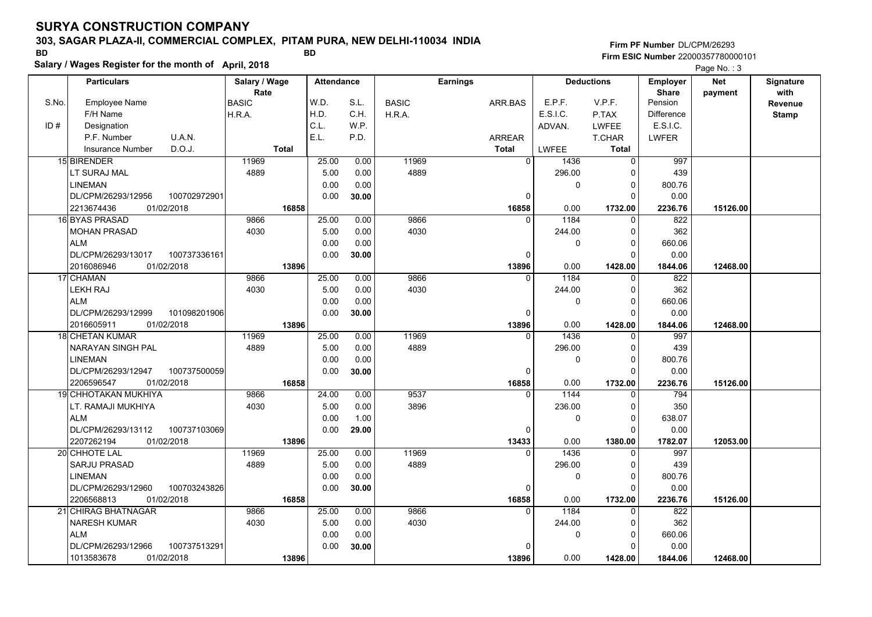## **303, SAGAR PLAZA-II, COMMERCIAL COMPLEX, PITAM PURA, NEW DELHI-110034 INDIA**

**Salary / Wages Register for the month of April, 2018 BD BD Firm PF Number**DL/CPM/26293**Firm ESIC Number** 22000357780000101

|       | Salary / Wages Register for the month of April, 2018 |               |                   |       |              |                 |              |                   |                   | Page No.: 3 |                  |
|-------|------------------------------------------------------|---------------|-------------------|-------|--------------|-----------------|--------------|-------------------|-------------------|-------------|------------------|
|       | <b>Particulars</b>                                   | Salary / Wage | <b>Attendance</b> |       |              | <b>Earnings</b> |              | <b>Deductions</b> | <b>Employer</b>   | <b>Net</b>  | <b>Signature</b> |
|       |                                                      | Rate          |                   |       |              |                 |              |                   | <b>Share</b>      | payment     | with             |
| S.No. | <b>Employee Name</b>                                 | <b>BASIC</b>  | W.D.              | S.L.  | <b>BASIC</b> | ARR.BAS         | E.P.F.       | V.P.F.            | Pension           |             | <b>Revenue</b>   |
|       | F/H Name                                             | H.R.A.        | H.D.              | C.H.  | H.R.A.       |                 | E.S.I.C.     | P.TAX             | <b>Difference</b> |             | <b>Stamp</b>     |
| ID#   | Designation                                          |               | C.L.              | W.P.  |              |                 | ADVAN.       | <b>LWFEE</b>      | E.S.I.C.          |             |                  |
|       | P.F. Number<br>U.A.N.                                |               | E.L.              | P.D.  |              | ARREAR          |              | <b>T.CHAR</b>     | <b>LWFER</b>      |             |                  |
|       | D.O.J.<br><b>Insurance Number</b>                    | Total         |                   |       |              | <b>Total</b>    | <b>LWFEE</b> | <b>Total</b>      |                   |             |                  |
|       | 15 BIRENDER                                          | 11969         | 25.00             | 0.00  | 11969        | $\mathbf 0$     | 1436         | $\mathbf 0$       | 997               |             |                  |
|       | LT SURAJ MAL                                         | 4889          | 5.00              | 0.00  | 4889         |                 | 296.00       | $\Omega$          | 439               |             |                  |
|       | <b>LINEMAN</b>                                       |               | 0.00              | 0.00  |              |                 | $\mathbf 0$  | 0                 | 800.76            |             |                  |
|       | DL/CPM/26293/12956<br>100702972901                   |               | 0.00              | 30.00 |              | $\mathbf 0$     |              | $\Omega$          | 0.00              |             |                  |
|       | 2213674436<br>01/02/2018                             | 16858         |                   |       |              | 16858           | 0.00         | 1732.00           | 2236.76           | 15126.00    |                  |
|       | 16 BYAS PRASAD                                       | 9866          | 25.00             | 0.00  | 9866         | $\Omega$        | 1184         | $\Omega$          | 822               |             |                  |
|       | <b>MOHAN PRASAD</b>                                  | 4030          | 5.00              | 0.00  | 4030         |                 | 244.00       | $\Omega$          | 362               |             |                  |
|       | <b>ALM</b>                                           |               | 0.00              | 0.00  |              |                 | $\mathbf 0$  | $\mathbf{0}$      | 660.06            |             |                  |
|       | 100737336161<br>DL/CPM/26293/13017                   |               | 0.00              | 30.00 |              | 0               |              | $\Omega$          | 0.00              |             |                  |
|       | 2016086946<br>01/02/2018                             | 13896         |                   |       |              | 13896           | 0.00         | 1428.00           | 1844.06           | 12468.00    |                  |
|       | 17 CHAMAN                                            | 9866          | 25.00             | 0.00  | 9866         | $\mathbf{0}$    | 1184         | $\Omega$          | 822               |             |                  |
|       | <b>LEKH RAJ</b>                                      | 4030          | 5.00              | 0.00  | 4030         |                 | 244.00       | $\Omega$          | 362               |             |                  |
|       | <b>ALM</b>                                           |               | 0.00              | 0.00  |              |                 | $\mathbf 0$  | $\Omega$          | 660.06            |             |                  |
|       | DL/CPM/26293/12999<br>101098201906                   |               | 0.00              | 30.00 |              | $\mathbf 0$     |              | $\Omega$          | 0.00              |             |                  |
|       | 2016605911<br>01/02/2018                             | 13896         |                   |       |              | 13896           | 0.00         | 1428.00           | 1844.06           | 12468.00    |                  |
|       | <b>18 CHETAN KUMAR</b>                               | 11969         | 25.00             | 0.00  | 11969        | $\Omega$        | 1436         | $\Omega$          | 997               |             |                  |
|       | NARAYAN SINGH PAL                                    | 4889          | 5.00              | 0.00  | 4889         |                 | 296.00       | $\Omega$          | 439               |             |                  |
|       | <b>LINEMAN</b>                                       |               | 0.00              | 0.00  |              |                 | $\mathbf 0$  | $\Omega$          | 800.76            |             |                  |
|       | DL/CPM/26293/12947<br>100737500059                   |               | 0.00              | 30.00 |              | $\mathbf 0$     |              | $\Omega$          | 0.00              |             |                  |
|       | 01/02/2018<br>2206596547                             | 16858         |                   |       |              | 16858           | 0.00         | 1732.00           | 2236.76           | 15126.00    |                  |
|       | 19 CHHOTAKAN MUKHIYA                                 | 9866          | 24.00             | 0.00  | 9537         | $\Omega$        | 1144         | $\Omega$          | 794               |             |                  |
|       | LT. RAMAJI MUKHIYA                                   | 4030          | 5.00              | 0.00  | 3896         |                 | 236.00       | 0                 | 350               |             |                  |
|       | <b>ALM</b>                                           |               | 0.00              | 1.00  |              |                 | $\mathbf 0$  | $\Omega$          | 638.07            |             |                  |
|       | DL/CPM/26293/13112<br>100737103069                   |               | 0.00              | 29.00 |              | $\mathbf 0$     |              | $\Omega$          | 0.00              |             |                  |
|       | 01/02/2018<br>2207262194                             | 13896         |                   |       |              | 13433           | 0.00         | 1380.00           | 1782.07           | 12053.00    |                  |
|       | 20 CHHOTE LAL                                        | 11969         | 25.00             | 0.00  | 11969        | 0               | 1436         | 0                 | 997               |             |                  |
|       | <b>SARJU PRASAD</b>                                  | 4889          | 5.00              | 0.00  | 4889         |                 | 296.00       | $\Omega$          | 439               |             |                  |
|       | <b>LINEMAN</b>                                       |               | 0.00              | 0.00  |              |                 | $\Omega$     | $\Omega$          | 800.76            |             |                  |
|       | DL/CPM/26293/12960<br>100703243826                   |               | 0.00              | 30.00 |              | $\mathbf 0$     |              | $\Omega$          | 0.00              |             |                  |
|       | 2206568813<br>01/02/2018                             | 16858         |                   |       |              | 16858           | 0.00         | 1732.00           | 2236.76           | 15126.00    |                  |
|       | 21 CHIRAG BHATNAGAR                                  | 9866          | 25.00             | 0.00  | 9866         | $\Omega$        | 1184         | $\Omega$          | 822               |             |                  |
|       | <b>NARESH KUMAR</b>                                  | 4030          | 5.00              | 0.00  | 4030         |                 | 244.00       | $\Omega$          | 362               |             |                  |
|       | <b>ALM</b>                                           |               | 0.00              | 0.00  |              |                 | $\mathbf 0$  | 0                 | 660.06            |             |                  |
|       | 100737513291<br>DL/CPM/26293/12966                   |               | 0.00              | 30.00 |              | 0               |              | $\Omega$          | 0.00              |             |                  |
|       | 01/02/2018<br>1013583678                             | 13896         |                   |       |              | 13896           | 0.00         | 1428.00           | 1844.06           | 12468.00    |                  |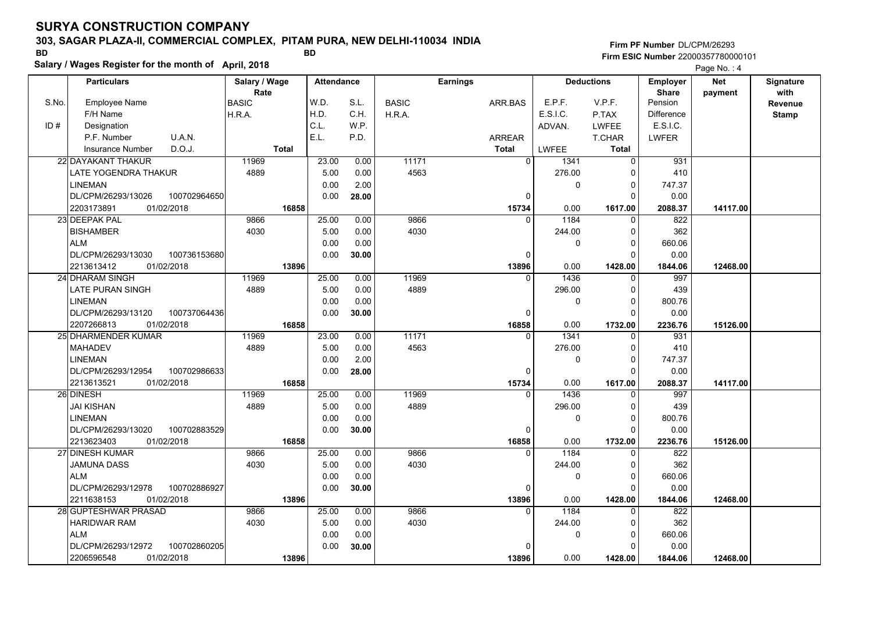## **303, SAGAR PLAZA-II, COMMERCIAL COMPLEX, PITAM PURA, NEW DELHI-110034 INDIA**

**Salary / Wages Register for the month of April, 2018 BD BD**

**Firm PF Number**DL/CPM/26293**Firm ESIC Number** 22000357780000101

|       | Salary / Wages Register for the month of April, 2018 |               |                   |       |              |                 |             | Page No.: 4       |                   |            |              |
|-------|------------------------------------------------------|---------------|-------------------|-------|--------------|-----------------|-------------|-------------------|-------------------|------------|--------------|
|       | <b>Particulars</b>                                   | Salary / Wage | <b>Attendance</b> |       |              | <b>Earnings</b> |             | <b>Deductions</b> | <b>Employer</b>   | <b>Net</b> | Signature    |
|       |                                                      | Rate          |                   |       |              |                 |             |                   | <b>Share</b>      | payment    | with         |
| S.No. | Employee Name                                        | <b>BASIC</b>  | W.D.              | S.L.  | <b>BASIC</b> | ARR.BAS         | E.P.F.      | V.P.F.            | Pension           |            | Revenue      |
|       | F/H Name                                             | H.R.A.        | H.D.              | C.H.  | H.R.A.       |                 | E.S.I.C.    | P.TAX             | <b>Difference</b> |            | <b>Stamp</b> |
| ID#   | Designation                                          |               | C.L.              | W.P.  |              |                 | ADVAN.      | <b>LWFEE</b>      | <b>E.S.I.C.</b>   |            |              |
|       | U.A.N.<br>P.F. Number                                |               | E.L.              | P.D.  |              | <b>ARREAR</b>   |             | <b>T.CHAR</b>     | LWFER             |            |              |
|       | D.O.J.<br><b>Insurance Number</b>                    | <b>Total</b>  |                   |       |              | <b>Total</b>    | LWFEE       | Total             |                   |            |              |
|       | 22 DAYAKANT THAKUR                                   | 11969         | 23.00             | 0.00  | 11171        | $\overline{0}$  | 1341        | $\mathbf 0$       | 931               |            |              |
|       | LATE YOGENDRA THAKUR                                 | 4889          | 5.00              | 0.00  | 4563         |                 | 276.00      | $\Omega$          | 410               |            |              |
|       | <b>LINEMAN</b>                                       |               | 0.00              | 2.00  |              |                 | 0           | 0                 | 747.37            |            |              |
|       | 100702964650<br>DL/CPM/26293/13026                   |               | 0.00              | 28.00 |              | 0               |             | $\Omega$          | 0.00              |            |              |
|       | 2203173891<br>01/02/2018                             | 16858         |                   |       |              | 15734           | 0.00        | 1617.00           | 2088.37           | 14117.00   |              |
|       | 23 DEEPAK PAL                                        | 9866          | 25.00             | 0.00  | 9866         | $\Omega$        | 1184        | 0                 | 822               |            |              |
|       | <b>BISHAMBER</b>                                     | 4030          | 5.00              | 0.00  | 4030         |                 | 244.00      | 0                 | 362               |            |              |
|       | ALM                                                  |               | 0.00              | 0.00  |              |                 | 0           | 0                 | 660.06            |            |              |
|       | DL/CPM/26293/13030<br>100736153680                   |               | 0.00              | 30.00 |              | 0               |             | $\Omega$          | 0.00              |            |              |
|       | 2213613412<br>01/02/2018                             | 13896         |                   |       |              | 13896           | 0.00        | 1428.00           | 1844.06           | 12468.00   |              |
|       | 24 DHARAM SINGH                                      | 11969         | 25.00             | 0.00  | 11969        | $\mathbf{0}$    | 1436        | $\Omega$          | 997               |            |              |
|       | <b>LATE PURAN SINGH</b>                              | 4889          | 5.00              | 0.00  | 4889         |                 | 296.00      | 0                 | 439               |            |              |
|       | <b>LINEMAN</b>                                       |               | 0.00              | 0.00  |              |                 | 0           | 0                 | 800.76            |            |              |
|       | DL/CPM/26293/13120<br>100737064436                   |               | 0.00              | 30.00 |              | 0               |             | $\Omega$          | 0.00              |            |              |
|       | 2207266813<br>01/02/2018                             | 16858         |                   |       |              | 16858           | 0.00        | 1732.00           | 2236.76           | 15126.00   |              |
|       | 25 DHARMENDER KUMAR                                  | 11969         | 23.00             | 0.00  | 11171        | $\Omega$        | 1341        | $\Omega$          | 931               |            |              |
|       | <b>MAHADEV</b>                                       | 4889          | 5.00              | 0.00  | 4563         |                 | 276.00      | $\Omega$          | 410               |            |              |
|       | <b>LINEMAN</b>                                       |               | 0.00              | 2.00  |              |                 | 0           | 0                 | 747.37            |            |              |
|       | 100702986633<br>DL/CPM/26293/12954                   |               | 0.00              | 28.00 |              | 0               |             | $\Omega$          | 0.00              |            |              |
|       | 2213613521<br>01/02/2018                             | 16858         |                   |       |              | 15734           | 0.00        | 1617.00           | 2088.37           | 14117.00   |              |
|       | 26 DINESH                                            | 11969         | 25.00             | 0.00  | 11969        | $\Omega$        | 1436        | $\Omega$          | 997               |            |              |
|       | JAI KISHAN                                           | 4889          | 5.00              | 0.00  | 4889         |                 | 296.00      | 0                 | 439               |            |              |
|       | <b>LINEMAN</b>                                       |               | 0.00              | 0.00  |              |                 | $\mathbf 0$ | $\Omega$          | 800.76            |            |              |
|       | DL/CPM/26293/13020<br>100702883529                   |               | 0.00              | 30.00 |              | 0               |             | $\Omega$          | 0.00              |            |              |
|       | 2213623403<br>01/02/2018                             | 16858         |                   |       |              | 16858           | 0.00        | 1732.00           | 2236.76           | 15126.00   |              |
|       | 27 DINESH KUMAR                                      | 9866          | 25.00             | 0.00  | 9866         | $\mathbf{0}$    | 1184        | 0                 | 822               |            |              |
|       | <b>JAMUNA DASS</b>                                   | 4030          | 5.00              | 0.00  | 4030         |                 | 244.00      | 0                 | 362               |            |              |
|       | <b>ALM</b>                                           |               | 0.00              | 0.00  |              |                 | 0           | $\mathbf 0$       | 660.06            |            |              |
|       | DL/CPM/26293/12978<br>100702886927                   |               | 0.00              | 30.00 |              | 0               |             | $\Omega$          | 0.00              |            |              |
|       | 2211638153<br>01/02/2018                             | 13896         |                   |       |              | 13896           | 0.00        | 1428.00           | 1844.06           | 12468.00   |              |
|       | 28 GUPTESHWAR PRASAD                                 | 9866          | 25.00             | 0.00  | 9866         | $\Omega$        | 1184        | $\Omega$          | 822               |            |              |
|       | <b>HARIDWAR RAM</b>                                  | 4030          | 5.00              | 0.00  | 4030         |                 | 244.00      | $\Omega$          | 362               |            |              |
|       | ALM                                                  |               | 0.00              | 0.00  |              |                 | $\mathbf 0$ | 0                 | 660.06            |            |              |
|       | 100702860205<br>DL/CPM/26293/12972                   |               | 0.00              | 30.00 |              | $\Omega$        |             | $\Omega$          | 0.00              |            |              |
|       | 01/02/2018<br>2206596548                             | 13896         |                   |       |              | 13896           | 0.00        | 1428.00           | 1844.06           | 12468.00   |              |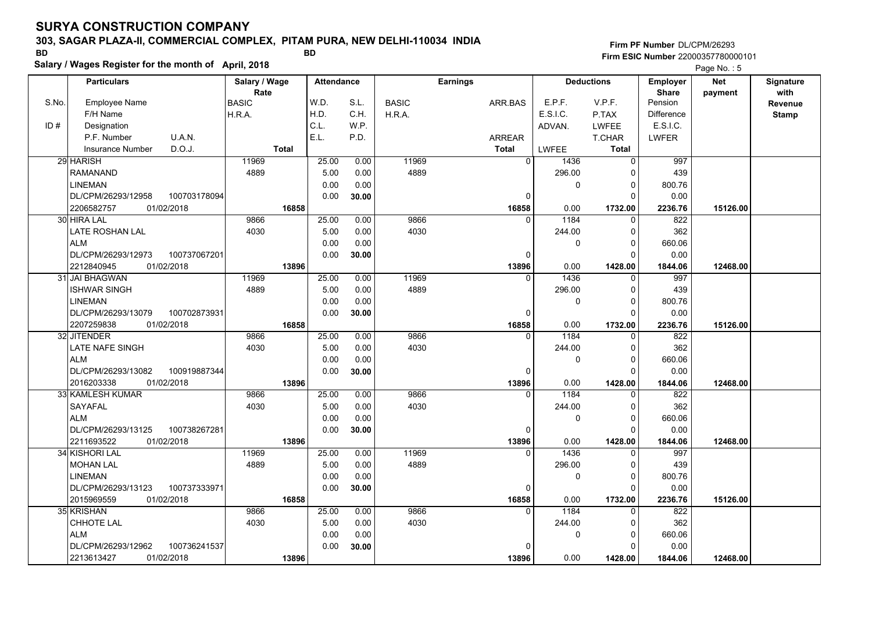## **303, SAGAR PLAZA-II, COMMERCIAL COMPLEX, PITAM PURA, NEW DELHI-110034 INDIA**

**Salary / Wages Register for the month of April, 2018 BD BD**

### **Firm PF Number**DL/CPM/26293**Firm ESIC Number** 22000357780000101

|       | <b>Particulars</b>                |              | Salary / Wage        |       | <b>Attendance</b> |       |              | <b>Earnings</b> |             |          | <b>Deductions</b> | Employer                | <b>Net</b> | Signature              |
|-------|-----------------------------------|--------------|----------------------|-------|-------------------|-------|--------------|-----------------|-------------|----------|-------------------|-------------------------|------------|------------------------|
| S.No. | Employee Name                     |              | Rate<br><b>BASIC</b> |       | W.D.              | S.L.  | <b>BASIC</b> |                 | ARR.BAS     | E.P.F.   | V.P.F.            | <b>Share</b><br>Pension | payment    | with<br><b>Revenue</b> |
|       | F/H Name                          |              | H.R.A.               |       | H.D.              | C.H.  | H.R.A.       |                 |             | E.S.I.C. | P.TAX             | <b>Difference</b>       |            | <b>Stamp</b>           |
| ID#   | Designation                       |              |                      |       | C.L.              | W.P.  |              |                 |             | ADVAN.   | <b>LWFEE</b>      | E.S.I.C.                |            |                        |
|       | U.A.N.<br>P.F. Number             |              |                      |       | E.L.              | P.D.  |              |                 | ARREAR      |          | T.CHAR            | <b>LWFER</b>            |            |                        |
|       | D.O.J.<br><b>Insurance Number</b> |              | <b>Total</b>         |       |                   |       |              | <b>Total</b>    |             | LWFEE    | <b>Total</b>      |                         |            |                        |
|       | 29 HARISH                         |              | 11969                |       | 25.00             | 0.00  | 11969        |                 | 0           | 1436     | $\Omega$          | 997                     |            |                        |
|       | <b>RAMANAND</b>                   |              | 4889                 |       | 5.00              | 0.00  | 4889         |                 |             | 296.00   | $\Omega$          | 439                     |            |                        |
|       | <b>LINEMAN</b>                    |              |                      |       | 0.00              | 0.00  |              |                 |             | 0        | $\mathbf 0$       | 800.76                  |            |                        |
|       | DL/CPM/26293/12958                | 100703178094 |                      |       | 0.00              | 30.00 |              |                 | 0           |          | $\Omega$          | 0.00                    |            |                        |
|       | 2206582757<br>01/02/2018          |              |                      | 16858 |                   |       |              |                 | 16858       | 0.00     | 1732.00           | 2236.76                 | 15126.00   |                        |
|       | 30 HIRA LAL                       |              | 9866                 |       | 25.00             | 0.00  | 9866         |                 | $\Omega$    | 1184     | $\Omega$          | 822                     |            |                        |
|       | LATE ROSHAN LAL                   |              | 4030                 |       | 5.00              | 0.00  | 4030         |                 |             | 244.00   | $\mathbf 0$       | 362                     |            |                        |
|       | <b>ALM</b>                        |              |                      |       | 0.00              | 0.00  |              |                 |             | 0        | $\mathbf 0$       | 660.06                  |            |                        |
|       | DL/CPM/26293/12973                | 100737067201 |                      |       | 0.00              | 30.00 |              |                 | 0           |          | $\Omega$          | 0.00                    |            |                        |
|       | 2212840945<br>01/02/2018          |              |                      | 13896 |                   |       |              |                 | 13896       | 0.00     | 1428.00           | 1844.06                 | 12468.00   |                        |
|       | 31 JAI BHAGWAN                    |              | 11969                |       | 25.00             | 0.00  | 11969        |                 | $\Omega$    | 1436     | 0                 | 997                     |            |                        |
|       | <b>ISHWAR SINGH</b>               |              | 4889                 |       | 5.00              | 0.00  | 4889         |                 |             | 296.00   | $\Omega$          | 439                     |            |                        |
|       | <b>LINEMAN</b>                    |              |                      |       | 0.00              | 0.00  |              |                 |             | 0        | $\mathbf 0$       | 800.76                  |            |                        |
|       | DL/CPM/26293/13079                | 100702873931 |                      |       | 0.00              | 30.00 |              |                 | $\mathbf 0$ |          | $\Omega$          | 0.00                    |            |                        |
|       | 2207259838<br>01/02/2018          |              |                      | 16858 |                   |       |              |                 | 16858       | 0.00     | 1732.00           | 2236.76                 | 15126.00   |                        |
|       | 32 JITENDER                       |              | 9866                 |       | 25.00             | 0.00  | 9866         |                 | $\Omega$    | 1184     | $\Omega$          | 822                     |            |                        |
|       | LATE NAFE SINGH                   |              | 4030                 |       | 5.00              | 0.00  | 4030         |                 |             | 244.00   | $\Omega$          | 362                     |            |                        |
|       | <b>ALM</b>                        |              |                      |       | 0.00              | 0.00  |              |                 |             | 0        | $\Omega$          | 660.06                  |            |                        |
|       | DL/CPM/26293/13082                | 100919887344 |                      |       | 0.00              | 30.00 |              |                 | 0           |          | $\Omega$          | 0.00                    |            |                        |
|       | 2016203338<br>01/02/2018          |              |                      | 13896 |                   |       |              |                 | 13896       | 0.00     | 1428.00           | 1844.06                 | 12468.00   |                        |
|       | 33 KAMLESH KUMAR                  |              | 9866                 |       | 25.00             | 0.00  | 9866         |                 | $\Omega$    | 1184     | $\Omega$          | 822                     |            |                        |
|       | <b>SAYAFAL</b>                    |              | 4030                 |       | 5.00              | 0.00  | 4030         |                 |             | 244.00   | $\Omega$          | 362                     |            |                        |
|       | <b>ALM</b>                        |              |                      |       | 0.00              | 0.00  |              |                 |             | 0        | $\mathbf 0$       | 660.06                  |            |                        |
|       | DL/CPM/26293/13125                | 100738267281 |                      |       | 0.00              | 30.00 |              |                 | 0           |          | $\mathbf 0$       | 0.00                    |            |                        |
|       | 2211693522<br>01/02/2018          |              |                      | 13896 |                   |       |              |                 | 13896       | 0.00     | 1428.00           | 1844.06                 | 12468.00   |                        |
|       | 34 KISHORI LAL                    |              | 11969                |       | 25.00             | 0.00  | 11969        |                 | $\Omega$    | 1436     | $\Omega$          | 997                     |            |                        |
|       | <b>MOHAN LAL</b>                  |              | 4889                 |       | 5.00              | 0.00  | 4889         |                 |             | 296.00   | 0                 | 439                     |            |                        |
|       | <b>LINEMAN</b>                    |              |                      |       | 0.00              | 0.00  |              |                 |             | 0        | $\mathbf 0$       | 800.76                  |            |                        |
|       | DL/CPM/26293/13123                | 100737333971 |                      |       | 0.00              | 30.00 |              |                 | 0           |          | $\Omega$          | 0.00                    |            |                        |
|       | 2015969559<br>01/02/2018          |              |                      | 16858 |                   |       |              |                 | 16858       | 0.00     | 1732.00           | 2236.76                 | 15126.00   |                        |
|       | 35 KRISHAN                        |              | 9866                 |       | 25.00             | 0.00  | 9866         |                 | $\Omega$    | 1184     | $\Omega$          | 822                     |            |                        |
|       | CHHOTE LAL                        |              | 4030                 |       | 5.00              | 0.00  | 4030         |                 |             | 244.00   | 0                 | 362                     |            |                        |
|       | <b>ALM</b>                        |              |                      |       | 0.00              | 0.00  |              |                 |             | 0        | 0<br>$\Omega$     | 660.06                  |            |                        |
|       | DL/CPM/26293/12962<br>01/02/2018  | 100736241537 |                      |       | 0.00              | 30.00 |              |                 | 0           | 0.00     |                   | 0.00                    |            |                        |
|       | 2213613427                        |              |                      | 13896 |                   |       |              |                 | 13896       |          | 1428.00           | 1844.06                 | 12468.00   |                        |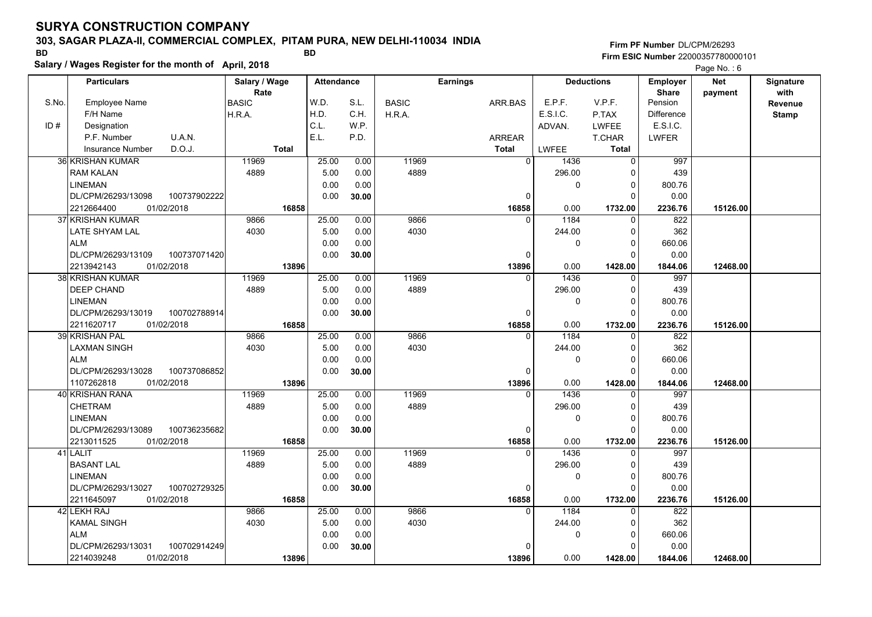## **303, SAGAR PLAZA-II, COMMERCIAL COMPLEX, PITAM PURA, NEW DELHI-110034 INDIA**

**Salary / Wages Register for the month of April, 2018 BD BD**

**Firm PF Number**DL/CPM/26293**Firm ESIC Number** 22000357780000101

|       | Salary / Wages Register for the month of April, 2018 |               |                   |       |              |                 |              |                   |                   | Page No.: 6 |              |
|-------|------------------------------------------------------|---------------|-------------------|-------|--------------|-----------------|--------------|-------------------|-------------------|-------------|--------------|
|       | <b>Particulars</b>                                   | Salary / Wage | <b>Attendance</b> |       |              | <b>Earnings</b> |              | <b>Deductions</b> | <b>Employer</b>   | <b>Net</b>  | Signature    |
|       |                                                      | Rate          |                   |       |              |                 |              |                   | <b>Share</b>      | payment     | with         |
| S.No. | <b>Employee Name</b>                                 | <b>BASIC</b>  | W.D.              | S.L.  | <b>BASIC</b> | ARR.BAS         | E.P.F.       | V.P.F.            | Pension           |             | Revenue      |
|       | F/H Name                                             | H.R.A.        | H.D.              | C.H.  | H.R.A.       |                 | E.S.I.C.     | P.TAX             | <b>Difference</b> |             | <b>Stamp</b> |
| ID#   | Designation                                          |               | C.L.              | WP.   |              |                 | ADVAN.       | <b>LWFEE</b>      | E.S.I.C.          |             |              |
|       | P.F. Number<br>U.A.N.                                |               | E.L.              | P.D.  |              | <b>ARREAR</b>   |              | <b>T.CHAR</b>     | <b>LWFER</b>      |             |              |
|       | D.O.J.<br><b>Insurance Number</b>                    | Total         |                   |       |              | <b>Total</b>    | <b>LWFEE</b> | Total             |                   |             |              |
|       | 36 KRISHAN KUMAR                                     | 11969         | 25.00             | 0.00  | 11969        | 0               | 1436         | $\overline{0}$    | 997               |             |              |
|       | <b>RAM KALAN</b>                                     | 4889          | 5.00              | 0.00  | 4889         |                 | 296.00       | $\Omega$          | 439               |             |              |
|       | <b>LINEMAN</b>                                       |               | 0.00              | 0.00  |              |                 | 0            | 0                 | 800.76            |             |              |
|       | 100737902222<br>DL/CPM/26293/13098                   |               | 0.00              | 30.00 |              | $\Omega$        |              | $\Omega$          | 0.00              |             |              |
|       | 01/02/2018<br>2212664400                             | 16858         |                   |       |              | 16858           | 0.00         | 1732.00           | 2236.76           | 15126.00    |              |
|       | <b>37 KRISHAN KUMAR</b>                              | 9866          | 25.00             | 0.00  | 9866         | $\Omega$        | 1184         | $\Omega$          | 822               |             |              |
|       | LATE SHYAM LAL                                       | 4030          | 5.00              | 0.00  | 4030         |                 | 244.00       | $\Omega$          | 362               |             |              |
|       | <b>ALM</b>                                           |               | 0.00              | 0.00  |              |                 | $\mathbf 0$  | 0                 | 660.06            |             |              |
|       | DL/CPM/26293/13109<br>100737071420                   |               | 0.00              | 30.00 |              | 0               |              | 0                 | 0.00              |             |              |
|       | 2213942143<br>01/02/2018                             | 13896         |                   |       |              | 13896           | 0.00         | 1428.00           | 1844.06           | 12468.00    |              |
|       | 38 KRISHAN KUMAR                                     | 11969         | 25.00             | 0.00  | 11969        | $\Omega$        | 1436         | 0                 | 997               |             |              |
|       | <b>DEEP CHAND</b>                                    | 4889          | 5.00              | 0.00  | 4889         |                 | 296.00       | 0                 | 439               |             |              |
|       | <b>LINEMAN</b>                                       |               | 0.00              | 0.00  |              |                 | $\Omega$     | 0                 | 800.76            |             |              |
|       | DL/CPM/26293/13019<br>100702788914                   |               | 0.00              | 30.00 |              | 0               |              | $\Omega$          | 0.00              |             |              |
|       | 2211620717<br>01/02/2018                             | 16858         |                   |       |              | 16858           | 0.00         | 1732.00           | 2236.76           | 15126.00    |              |
|       | 39 KRISHAN PAL                                       | 9866          | 25.00             | 0.00  | 9866         | $\Omega$        | 1184         | 0                 | $\overline{822}$  |             |              |
|       | <b>LAXMAN SINGH</b>                                  | 4030          | 5.00              | 0.00  | 4030         |                 | 244.00       | $\Omega$          | 362               |             |              |
|       | <b>ALM</b>                                           |               | 0.00              | 0.00  |              |                 | $\mathbf 0$  | 0                 | 660.06            |             |              |
|       | 100737086852<br>DL/CPM/26293/13028                   |               | 0.00              | 30.00 |              | $\Omega$        |              | 0                 | 0.00              |             |              |
|       | 01/02/2018<br>1107262818                             | 13896         |                   |       |              | 13896           | 0.00         | 1428.00           | 1844.06           | 12468.00    |              |
|       | 40 KRISHAN RANA                                      | 11969         | 25.00             | 0.00  | 11969        | $\Omega$        | 1436         | $\Omega$          | 997               |             |              |
|       | <b>CHETRAM</b>                                       | 4889          | 5.00              | 0.00  | 4889         |                 | 296.00       | 0                 | 439               |             |              |
|       | <b>LINEMAN</b>                                       |               | 0.00              | 0.00  |              |                 | $\mathbf 0$  | 0                 | 800.76            |             |              |
|       | 100736235682<br>DL/CPM/26293/13089                   |               | 0.00              | 30.00 |              | 0               |              | 0                 | 0.00              |             |              |
|       | 01/02/2018<br>2213011525                             | 16858         |                   |       |              | 16858           | 0.00         | 1732.00           | 2236.76           | 15126.00    |              |
|       | 41 LALIT                                             | 11969         | 25.00             | 0.00  | 11969        | 0               | 1436         | 0                 | 997               |             |              |
|       | <b>BASANT LAL</b>                                    | 4889          | 5.00              | 0.00  | 4889         |                 | 296.00       | 0                 | 439               |             |              |
|       | <b>LINEMAN</b>                                       |               | 0.00              | 0.00  |              |                 | $\Omega$     | 0                 | 800.76            |             |              |
|       | DL/CPM/26293/13027<br>100702729325                   |               | 0.00              | 30.00 |              | 0               |              | $\Omega$          | 0.00              |             |              |
|       | 2211645097<br>01/02/2018                             | 16858         |                   |       |              | 16858           | 0.00         | 1732.00           | 2236.76           | 15126.00    |              |
|       | 42 LEKH RAJ                                          | 9866          | 25.00             | 0.00  | 9866         | 0               | 1184         | $\Omega$          | 822               |             |              |
|       | <b>KAMAL SINGH</b>                                   | 4030          | 5.00              | 0.00  | 4030         |                 | 244.00       | $\Omega$          | 362               |             |              |
|       | <b>ALM</b>                                           |               | 0.00              | 0.00  |              |                 | 0            | 0                 | 660.06            |             |              |
|       | 100702914249<br>DL/CPM/26293/13031                   |               | 0.00              | 30.00 |              | $\Omega$        |              | 0                 | 0.00              |             |              |
|       | 01/02/2018<br>2214039248                             | 13896         |                   |       |              | 13896           | 0.00         | 1428.00           | 1844.06           | 12468.00    |              |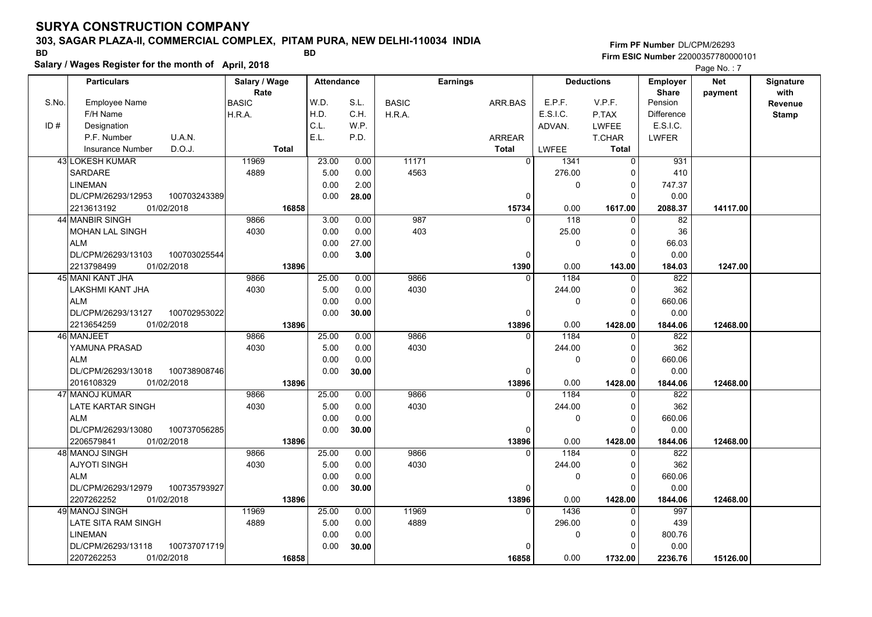## **303, SAGAR PLAZA-II, COMMERCIAL COMPLEX, PITAM PURA, NEW DELHI-110034 INDIA**

**Salary / Wages Register for the month of April, 2018 BD BD Firm PF Number**DL/CPM/26293**Firm ESIC Number** 22000357780000101

|       | <b>Particulars</b>                 | Salary / Wage        | <b>Attendance</b> |       |              | Earnings      |              | <b>Deductions</b> | <b>Employer</b>         | <b>Net</b> | Signature              |
|-------|------------------------------------|----------------------|-------------------|-------|--------------|---------------|--------------|-------------------|-------------------------|------------|------------------------|
| S.No. | Employee Name                      | Rate<br><b>BASIC</b> | W.D.              | S.L.  | <b>BASIC</b> | ARR.BAS       | E.P.F.       | V.P.F.            | <b>Share</b><br>Pension | payment    | with<br><b>Revenue</b> |
|       | F/H Name                           | H.R.A.               | H.D.              | C.H.  | H.R.A.       |               | E.S.I.C.     | P.TAX             | Difference              |            |                        |
| ID#   | Designation                        |                      | C.L.              | W.P.  |              |               |              |                   | E.S.I.C.                |            | <b>Stamp</b>           |
|       | U.A.N.<br>P.F. Number              |                      | E.L.              | P.D.  |              |               | ADVAN.       | LWFEE             |                         |            |                        |
|       |                                    |                      |                   |       |              | <b>ARREAR</b> |              | T.CHAR            | <b>LWFER</b>            |            |                        |
|       | D.O.J.<br>Insurance Number         | <b>Total</b>         |                   |       |              | <b>Total</b>  | <b>LWFEE</b> | <b>Total</b>      |                         |            |                        |
|       | 43 LOKESH KUMAR                    | 11969                | 23.00             | 0.00  | 11171        | $\Omega$      | 1341         | 0                 | 931                     |            |                        |
|       | SARDARE                            | 4889                 | 5.00              | 0.00  | 4563         |               | 276.00       | 0                 | 410                     |            |                        |
|       | <b>LINEMAN</b>                     |                      | 0.00              | 2.00  |              |               | $\mathbf{0}$ | $\Omega$          | 747.37                  |            |                        |
|       | 100703243389<br>DL/CPM/26293/12953 |                      | 0.00              | 28.00 |              | $\Omega$      |              | $\Omega$          | 0.00                    |            |                        |
|       | 2213613192<br>01/02/2018           | 16858                |                   |       |              | 15734         | 0.00         | 1617.00           | 2088.37                 | 14117.00   |                        |
|       | 44 MANBIR SINGH                    | 9866                 | 3.00              | 0.00  | 987          | $\Omega$      | 118          | 0                 | 82                      |            |                        |
|       | MOHAN LAL SINGH                    | 4030                 | 0.00              | 0.00  | 403          |               | 25.00        | 0                 | 36                      |            |                        |
|       | <b>ALM</b>                         |                      | 0.00              | 27.00 |              |               | $\Omega$     | $\mathbf 0$       | 66.03                   |            |                        |
|       | DL/CPM/26293/13103<br>100703025544 |                      | 0.00              | 3.00  |              | $\Omega$      |              | $\Omega$          | 0.00                    |            |                        |
|       | 01/02/2018<br>2213798499           | 13896                |                   |       |              | 1390          | 0.00         | 143.00            | 184.03                  | 1247.00    |                        |
|       | 45 MANI KANT JHA                   | 9866                 | 25.00             | 0.00  | 9866         | $\Omega$      | 1184         | $\mathbf 0$       | 822                     |            |                        |
|       | LAKSHMI KANT JHA                   | 4030                 | 5.00              | 0.00  | 4030         |               | 244.00       | $\Omega$          | 362                     |            |                        |
|       | <b>ALM</b>                         |                      | 0.00              | 0.00  |              |               | $\Omega$     | $\mathbf 0$       | 660.06                  |            |                        |
|       | DL/CPM/26293/13127<br>100702953022 |                      | 0.00              | 30.00 |              | $\mathbf 0$   |              | $\Omega$          | 0.00                    |            |                        |
|       | 2213654259<br>01/02/2018           | 13896                |                   |       |              | 13896         | 0.00         | 1428.00           | 1844.06                 | 12468.00   |                        |
|       | 46 MANJEET                         | 9866                 | 25.00             | 0.00  | 9866         | $\Omega$      | 1184         | $\Omega$          | 822                     |            |                        |
|       | YAMUNA PRASAD                      | 4030                 | 5.00              | 0.00  | 4030         |               | 244.00       | 0                 | 362                     |            |                        |
|       | <b>ALM</b>                         |                      | 0.00              | 0.00  |              |               | 0            | 0                 | 660.06                  |            |                        |
|       | DL/CPM/26293/13018<br>100738908746 |                      | 0.00              | 30.00 |              | $\Omega$      |              | $\Omega$          | 0.00                    |            |                        |
|       | 2016108329<br>01/02/2018           | 13896                |                   |       |              | 13896         | 0.00         | 1428.00           | 1844.06                 | 12468.00   |                        |
|       | 47 MANOJ KUMAR                     | 9866                 | 25.00             | 0.00  | 9866         | $\Omega$      | 1184         | $\Omega$          | 822                     |            |                        |
|       | LATE KARTAR SINGH                  | 4030                 | 5.00              | 0.00  | 4030         |               | 244.00       | $\Omega$          | 362                     |            |                        |
|       | <b>ALM</b>                         |                      | 0.00              | 0.00  |              |               | $\Omega$     | $\mathbf 0$       | 660.06                  |            |                        |
|       | DL/CPM/26293/13080<br>100737056285 |                      | 0.00              | 30.00 |              | $\Omega$      |              | $\Omega$          | 0.00                    |            |                        |
|       | 01/02/2018<br>2206579841           | 13896                |                   |       |              | 13896         | 0.00         | 1428.00           | 1844.06                 | 12468.00   |                        |
|       | 48 MANOJ SINGH                     | 9866                 | 25.00             | 0.00  | 9866         | $\Omega$      | 1184         | $\Omega$          | 822                     |            |                        |
|       | <b>AJYOTI SINGH</b>                | 4030                 | 5.00              | 0.00  | 4030         |               | 244.00       | 0                 | 362                     |            |                        |
|       | <b>ALM</b>                         |                      | 0.00              | 0.00  |              |               | 0            | 0                 | 660.06                  |            |                        |
|       | DL/CPM/26293/12979<br>100735793927 |                      | 0.00              | 30.00 |              | $\Omega$      |              | $\Omega$          | 0.00                    |            |                        |
|       | 2207262252<br>01/02/2018           | 13896                |                   |       |              | 13896         | 0.00         | 1428.00           | 1844.06                 | 12468.00   |                        |
|       | 49 MANOJ SINGH                     | 11969                | 25.00             | 0.00  | 11969        | $\Omega$      | 1436         | $\Omega$          | 997                     |            |                        |
|       | LATE SITA RAM SINGH                | 4889                 | 5.00              | 0.00  | 4889         |               | 296.00       | 0                 | 439                     |            |                        |
|       | <b>LINEMAN</b>                     |                      | 0.00              | 0.00  |              |               | $\Omega$     | $\mathbf 0$       | 800.76                  |            |                        |
|       | 100737071719<br>DL/CPM/26293/13118 |                      | 0.00              | 30.00 |              | $\Omega$      |              | $\Omega$          | 0.00                    |            |                        |
|       | 2207262253<br>01/02/2018           | 16858                |                   |       |              | 16858         | 0.00         | 1732.00           | 2236.76                 | 15126.00   |                        |
|       |                                    |                      |                   |       |              |               |              |                   |                         |            |                        |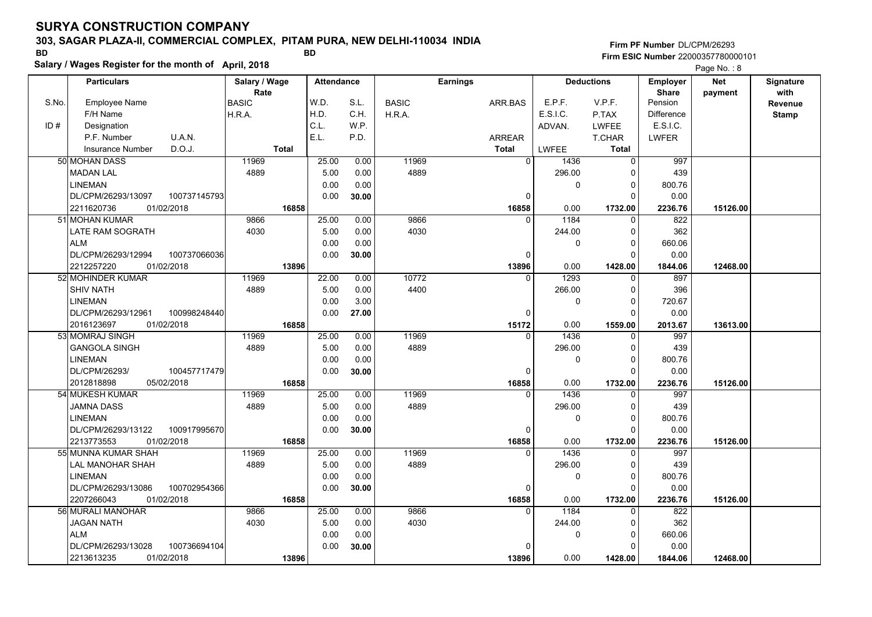## **303, SAGAR PLAZA-II, COMMERCIAL COMPLEX, PITAM PURA, NEW DELHI-110034 INDIA**

**Salary / Wages Register for the month of April, 2018 BD BD**

**Firm PF Number**DL/CPM/26293**Firm ESIC Number** 22000357780000101

|       | <b>Particulars</b>       |              | Salary / Wage<br>Rate |              | <b>Attendance</b> |       |              | <b>Earnings</b> |                |             | <b>Deductions</b> | <b>Employer</b><br><b>Share</b> | <b>Net</b><br>payment | Signature<br>with |
|-------|--------------------------|--------------|-----------------------|--------------|-------------------|-------|--------------|-----------------|----------------|-------------|-------------------|---------------------------------|-----------------------|-------------------|
| S.No. | Employee Name            |              | <b>BASIC</b>          |              | W.D.              | S.L.  | <b>BASIC</b> |                 | ARR.BAS        | E.P.F.      | V.P.F.            | Pension                         |                       | Revenue           |
|       | F/H Name                 |              | H.R.A.                |              | H.D.              | C.H.  | H.R.A.       |                 |                | E.S.I.C.    | P.TAX             | <b>Difference</b>               |                       | <b>Stamp</b>      |
| ID#   | Designation              |              |                       |              | C.L.              | W.P.  |              |                 |                | ADVAN.      | <b>LWFEE</b>      | E.S.I.C.                        |                       |                   |
|       | P.F. Number              | U.A.N.       |                       |              | E.L.              | P.D.  |              |                 | ARREAR         |             | T.CHAR            | <b>LWFER</b>                    |                       |                   |
|       | <b>Insurance Number</b>  | D.O.J.       |                       | <b>Total</b> |                   |       |              |                 | Total          | LWFEE       | Total             |                                 |                       |                   |
|       | 50 MOHAN DASS            |              | 11969                 |              | 25.00             | 0.00  | 11969        |                 | $\overline{0}$ | 1436        | $\Omega$          | 997                             |                       |                   |
|       | <b>MADAN LAL</b>         |              | 4889                  |              | 5.00              | 0.00  | 4889         |                 |                | 296.00      | $\Omega$          | 439                             |                       |                   |
|       | <b>LINEMAN</b>           |              |                       |              | 0.00              | 0.00  |              |                 |                | 0           | $\Omega$          | 800.76                          |                       |                   |
|       | DL/CPM/26293/13097       | 100737145793 |                       |              | 0.00              | 30.00 |              |                 | 0              |             | O                 | 0.00                            |                       |                   |
|       | 2211620736<br>01/02/2018 |              |                       | 16858        |                   |       |              |                 | 16858          | 0.00        | 1732.00           | 2236.76                         | 15126.00              |                   |
|       | 51 MOHAN KUMAR           |              | 9866                  |              | 25.00             | 0.00  | 9866         |                 | $\mathbf{0}$   | 1184        | $\mathbf{0}$      | 822                             |                       |                   |
|       | LATE RAM SOGRATH         |              | 4030                  |              | 5.00              | 0.00  | 4030         |                 |                | 244.00      | $\Omega$          | 362                             |                       |                   |
|       | <b>ALM</b>               |              |                       |              | 0.00              | 0.00  |              |                 |                | 0           | $\Omega$          | 660.06                          |                       |                   |
|       | DL/CPM/26293/12994       | 100737066036 |                       |              | 0.00              | 30.00 |              |                 | $\Omega$       |             | $\Omega$          | 0.00                            |                       |                   |
|       | 2212257220<br>01/02/2018 |              |                       | 13896        |                   |       |              |                 | 13896          | 0.00        | 1428.00           | 1844.06                         | 12468.00              |                   |
|       | 52 MOHINDER KUMAR        |              | 11969                 |              | 22.00             | 0.00  | 10772        |                 |                | 1293        | $\Omega$          | 897                             |                       |                   |
|       | <b>SHIV NATH</b>         |              | 4889                  |              | 5.00              | 0.00  | 4400         |                 |                | 266.00      | $\Omega$          | 396                             |                       |                   |
|       | <b>LINEMAN</b>           |              |                       |              | 0.00              | 3.00  |              |                 |                | 0           | $\Omega$          | 720.67                          |                       |                   |
|       | DL/CPM/26293/12961       | 100998248440 |                       |              | 0.00              | 27.00 |              |                 | $\Omega$       |             | $\Omega$          | 0.00                            |                       |                   |
|       | 2016123697<br>01/02/2018 |              |                       | 16858        |                   |       |              |                 | 15172          | 0.00        | 1559.00           | 2013.67                         | 13613.00              |                   |
|       | 53 MOMRAJ SINGH          |              | 11969                 |              | 25.00             | 0.00  | 11969        |                 | $\mathbf{0}$   | 1436        | $\Omega$          | 997                             |                       |                   |
|       | <b>GANGOLA SINGH</b>     |              | 4889                  |              | 5.00              | 0.00  | 4889         |                 |                | 296.00      | 0                 | 439                             |                       |                   |
|       | <b>LINEMAN</b>           |              |                       |              | 0.00              | 0.00  |              |                 |                | $\mathbf 0$ | $\Omega$          | 800.76                          |                       |                   |
|       | DL/CPM/26293/            | 100457717479 |                       |              | 0.00              | 30.00 |              |                 | 0              |             | $\Omega$          | 0.00                            |                       |                   |
|       | 2012818898<br>05/02/2018 |              |                       | 16858        |                   |       |              |                 | 16858          | 0.00        | 1732.00           | 2236.76                         | 15126.00              |                   |
|       | 54 MUKESH KUMAR          |              | 11969                 |              | 25.00             | 0.00  | 11969        |                 | 0              | 1436        | $\Omega$          | 997                             |                       |                   |
|       | <b>JAMNA DASS</b>        |              | 4889                  |              | 5.00              | 0.00  | 4889         |                 |                | 296.00      | $\Omega$          | 439                             |                       |                   |
|       | <b>LINEMAN</b>           |              |                       |              | 0.00              | 0.00  |              |                 |                | 0           | $\mathbf 0$       | 800.76                          |                       |                   |
|       | DL/CPM/26293/13122       | 100917995670 |                       |              | 0.00              | 30.00 |              |                 | 0              |             | $\Omega$          | 0.00                            |                       |                   |
|       | 01/02/2018<br>2213773553 |              |                       | 16858        |                   |       |              |                 | 16858          | 0.00        | 1732.00           | 2236.76                         | 15126.00              |                   |
|       | 55 MUNNA KUMAR SHAH      |              | 11969                 |              | 25.00             | 0.00  | 11969        |                 |                | 1436        | $\Omega$          | 997                             |                       |                   |
|       | <b>LAL MANOHAR SHAH</b>  |              | 4889                  |              | 5.00              | 0.00  | 4889         |                 |                | 296.00      | $\Omega$          | 439                             |                       |                   |
|       | <b>LINEMAN</b>           |              |                       |              | 0.00              | 0.00  |              |                 |                | $\mathbf 0$ | $\Omega$          | 800.76                          |                       |                   |
|       | DL/CPM/26293/13086       | 100702954366 |                       |              | 0.00              | 30.00 |              |                 | 0              |             | $\Omega$          | 0.00                            |                       |                   |
|       | 01/02/2018<br>2207266043 |              |                       | 16858        |                   |       |              |                 | 16858          | 0.00        | 1732.00           | 2236.76                         | 15126.00              |                   |
|       | 56 MURALI MANOHAR        |              | 9866                  |              | 25.00             | 0.00  | 9866         |                 | $\Omega$       | 1184        | $\Omega$          | 822                             |                       |                   |
|       | <b>JAGAN NATH</b>        |              | 4030                  |              | 5.00              | 0.00  | 4030         |                 |                | 244.00      | 0                 | 362                             |                       |                   |
|       | <b>ALM</b>               |              |                       |              | 0.00              | 0.00  |              |                 |                | 0           | $\Omega$          | 660.06                          |                       |                   |
|       | DL/CPM/26293/13028       | 100736694104 |                       |              | 0.00              | 30.00 |              |                 | 0              |             | O                 | 0.00                            |                       |                   |
|       | 2213613235<br>01/02/2018 |              |                       | 13896        |                   |       |              |                 | 13896          | 0.00        | 1428.00           | 1844.06                         | 12468.00              |                   |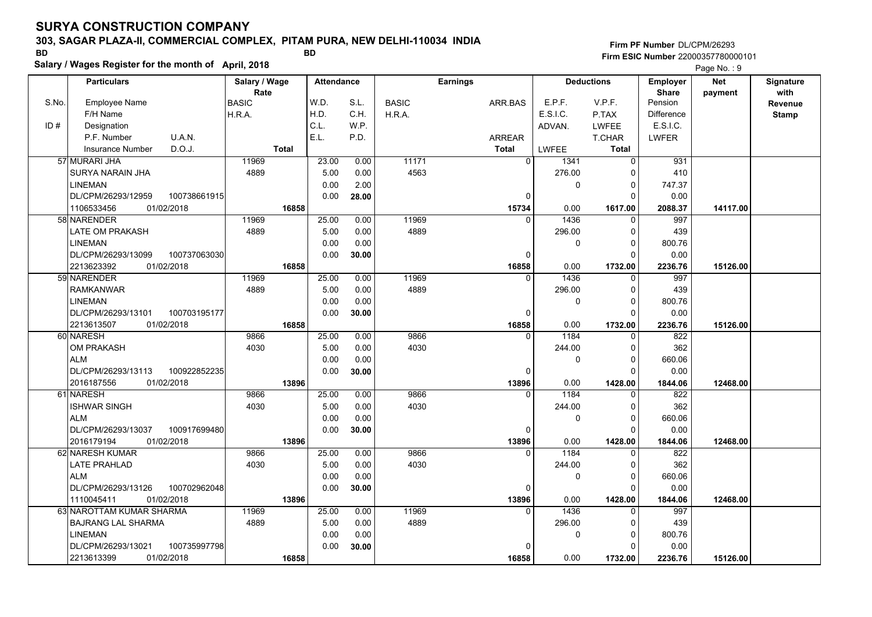## **303, SAGAR PLAZA-II, COMMERCIAL COMPLEX, PITAM PURA, NEW DELHI-110034 INDIA**

**Salary / Wages Register for the month of April, 2018 BD BD Firm PF Number**DL/CPM/26293**Firm ESIC Number** 22000357780000101

|       | <b>Particulars</b>                 | Salary / Wage        | <b>Attendance</b> |       |              | <b>Earnings</b> |              | <b>Deductions</b> | <b>Employer</b>         | <b>Net</b> | Signature       |
|-------|------------------------------------|----------------------|-------------------|-------|--------------|-----------------|--------------|-------------------|-------------------------|------------|-----------------|
| S.No. | Employee Name                      | Rate<br><b>BASIC</b> | W.D.              | S.L.  | <b>BASIC</b> | ARR.BAS         | E.P.F.       | V.P.F.            | <b>Share</b><br>Pension | payment    | with<br>Revenue |
|       | F/H Name                           | H.R.A.               | H.D.              | C.H.  | H.R.A.       |                 | E.S.I.C.     | P.TAX             | <b>Difference</b>       |            | <b>Stamp</b>    |
| ID#   | Designation                        |                      | C.L.              | W.P.  |              |                 | ADVAN.       | <b>LWFEE</b>      | E.S.I.C.                |            |                 |
|       | P.F. Number<br>U.A.N.              |                      | E.L.              | PD.   |              | ARREAR          |              |                   | <b>LWFER</b>            |            |                 |
|       | D.O.J.                             | <b>Total</b>         |                   |       |              | <b>Total</b>    |              | T.CHAR            |                         |            |                 |
|       | Insurance Number                   |                      |                   |       |              |                 | <b>LWFEE</b> | Total             |                         |            |                 |
|       | 57 MURARI JHA                      | 11969                | 23.00             | 0.00  | 11171        | $\mathbf 0$     | 1341         | 0                 | 931                     |            |                 |
|       | SURYA NARAIN JHA                   | 4889                 | 5.00              | 0.00  | 4563         |                 | 276.00       | $\mathbf 0$       | 410                     |            |                 |
|       | <b>LINEMAN</b>                     |                      | 0.00              | 2.00  |              |                 | 0            | $\mathbf 0$       | 747.37                  |            |                 |
|       | 100738661915<br>DL/CPM/26293/12959 |                      | 0.00              | 28.00 |              | 0               |              | $\mathbf 0$       | 0.00                    |            |                 |
|       | 1106533456<br>01/02/2018           | 16858                |                   |       |              | 15734           | 0.00         | 1617.00           | 2088.37                 | 14117.00   |                 |
|       | 58 NARENDER                        | 11969                | 25.00             | 0.00  | 11969        | $\Omega$        | 1436         | 0                 | 997                     |            |                 |
|       | LATE OM PRAKASH                    | 4889                 | 5.00              | 0.00  | 4889         |                 | 296.00       | $\mathbf 0$       | 439                     |            |                 |
|       | <b>LINEMAN</b>                     |                      | 0.00              | 0.00  |              |                 | 0            | $\mathbf 0$       | 800.76                  |            |                 |
|       | DL/CPM/26293/13099<br>100737063030 |                      | 0.00              | 30.00 |              | $\Omega$        |              | $\Omega$          | 0.00                    |            |                 |
|       | 2213623392<br>01/02/2018           | 16858                |                   |       |              | 16858           | 0.00         | 1732.00           | 2236.76                 | 15126.00   |                 |
|       | 59 NARENDER                        | 11969                | 25.00             | 0.00  | 11969        | $\Omega$        | 1436         | 0                 | 997                     |            |                 |
|       | <b>RAMKANWAR</b>                   | 4889                 | 5.00              | 0.00  | 4889         |                 | 296.00       | $\mathbf 0$       | 439                     |            |                 |
|       | <b>LINEMAN</b>                     |                      | 0.00              | 0.00  |              |                 | $\mathbf 0$  | $\mathbf 0$       | 800.76                  |            |                 |
|       | DL/CPM/26293/13101<br>100703195177 |                      | 0.00              | 30.00 |              | 0               |              | $\mathbf 0$       | 0.00                    |            |                 |
|       | 2213613507<br>01/02/2018           | 16858                |                   |       |              | 16858           | 0.00         | 1732.00           | 2236.76                 | 15126.00   |                 |
|       | 60 NARESH                          | 9866                 | 25.00             | 0.00  | 9866         | $\Omega$        | 1184         | $\mathbf 0$       | 822                     |            |                 |
|       | <b>OM PRAKASH</b>                  | 4030                 | 5.00              | 0.00  | 4030         |                 | 244.00       | $\mathbf 0$       | 362                     |            |                 |
|       | <b>ALM</b>                         |                      | 0.00              | 0.00  |              |                 | $\mathbf 0$  | $\mathbf 0$       | 660.06                  |            |                 |
|       | DL/CPM/26293/13113<br>100922852235 |                      | 0.00              | 30.00 |              | $\mathbf{0}$    |              | $\Omega$          | 0.00                    |            |                 |
|       | 2016187556<br>01/02/2018           | 13896                |                   |       |              | 13896           | 0.00         | 1428.00           | 1844.06                 | 12468.00   |                 |
|       | 61 NARESH                          | 9866                 | 25.00             | 0.00  | 9866         | $\Omega$        | 1184         | $\Omega$          | 822                     |            |                 |
|       | <b>ISHWAR SINGH</b>                | 4030                 | 5.00              | 0.00  | 4030         |                 | 244.00       | $\Omega$          | 362                     |            |                 |
|       | <b>ALM</b>                         |                      | 0.00              | 0.00  |              |                 | $\mathbf 0$  | $\mathbf 0$       | 660.06                  |            |                 |
|       | DL/CPM/26293/13037<br>100917699480 |                      | 0.00              | 30.00 |              | $\mathbf 0$     |              | $\Omega$          | 0.00                    |            |                 |
|       | 01/02/2018<br>2016179194           | 13896                |                   |       |              | 13896           | 0.00         | 1428.00           | 1844.06                 | 12468.00   |                 |
|       | 62 NARESH KUMAR                    | 9866                 | 25.00             | 0.00  | 9866         | $\Omega$        | 1184         | $\mathbf 0$       | 822                     |            |                 |
|       | LATE PRAHLAD                       | 4030                 | 5.00              | 0.00  | 4030         |                 | 244.00       | 0                 | 362                     |            |                 |
|       | <b>ALM</b>                         |                      | 0.00              | 0.00  |              |                 | $\mathbf 0$  | $\mathbf 0$       | 660.06                  |            |                 |
|       | 100702962048<br>DL/CPM/26293/13126 |                      | 0.00              | 30.00 |              | $\Omega$        |              | $\Omega$          | 0.00                    |            |                 |
|       | 01/02/2018<br>1110045411           | 13896                |                   |       |              | 13896           | 0.00         | 1428.00           | 1844.06                 | 12468.00   |                 |
|       | 63 NAROTTAM KUMAR SHARMA           | 11969                | 25.00             | 0.00  | 11969        | $\Omega$        | 1436         | 0                 | 997                     |            |                 |
|       | <b>BAJRANG LAL SHARMA</b>          | 4889                 | 5.00              | 0.00  | 4889         |                 | 296.00       | $\mathbf 0$       | 439                     |            |                 |
|       | <b>LINEMAN</b>                     |                      | 0.00              | 0.00  |              |                 | $\mathbf 0$  | $\mathbf 0$       | 800.76                  |            |                 |
|       | 100735997798<br>DL/CPM/26293/13021 |                      | 0.00              | 30.00 |              | 0               |              | $\Omega$          | 0.00                    |            |                 |
|       | 2213613399<br>01/02/2018           | 16858                |                   |       |              | 16858           | 0.00         | 1732.00           | 2236.76                 | 15126.00   |                 |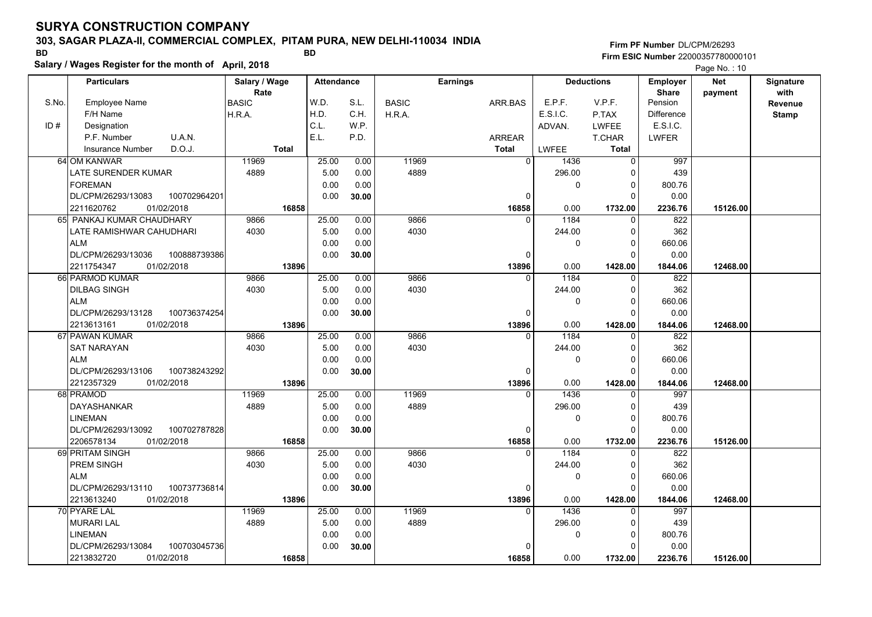## **303, SAGAR PLAZA-II, COMMERCIAL COMPLEX, PITAM PURA, NEW DELHI-110034 INDIA**

**Salary / Wages Register for the month of April, 2018 BD BD Firm PF Number**DL/CPM/26293**Firm ESIC Number** 22000357780000101

|       | <b>Particulars</b>                 | Salary / Wage        | <b>Attendance</b> |       |              | <b>Earnings</b> |                        | <b>Deductions</b> | <b>Employer</b>         | <b>Net</b> | Signature       |
|-------|------------------------------------|----------------------|-------------------|-------|--------------|-----------------|------------------------|-------------------|-------------------------|------------|-----------------|
| S.No. | Employee Name                      | Rate<br><b>BASIC</b> | W.D.              | S.L.  | <b>BASIC</b> | ARR.BAS         | E.P.F.                 | V.P.F.            | <b>Share</b><br>Pension | payment    | with<br>Revenue |
|       | F/H Name                           | H.R.A.               | H.D.              | C.H.  | H.R.A.       |                 | E.S.I.C.               | P.TAX             | <b>Difference</b>       |            | <b>Stamp</b>    |
| ID#   | Designation                        |                      | C.L.              | W.P.  |              |                 | ADVAN.                 | <b>LWFEE</b>      | E.S.I.C.                |            |                 |
|       | U.A.N.<br>P.F. Number              |                      | E.L.              | P.D.  |              | <b>ARREAR</b>   |                        | T.CHAR            | <b>LWFER</b>            |            |                 |
|       | D.O.J.<br><b>Insurance Number</b>  | <b>Total</b>         |                   |       |              | <b>Total</b>    | LWFEE                  | Total             |                         |            |                 |
|       | 64 OM KANWAR                       | 11969                | 25.00             | 0.00  | 11969        |                 | $\overline{0}$<br>1436 | $\Omega$          | 997                     |            |                 |
|       | LATE SURENDER KUMAR                | 4889                 | 5.00              | 0.00  | 4889         |                 | 296.00                 | 0                 | 439                     |            |                 |
|       | <b>FOREMAN</b>                     |                      | 0.00              | 0.00  |              |                 | 0                      | $\Omega$          | 800.76                  |            |                 |
|       | DL/CPM/26293/13083<br>100702964201 |                      | 0.00              | 30.00 |              |                 | 0                      | ŋ                 | 0.00                    |            |                 |
|       | 2211620762<br>01/02/2018           | 16858                |                   |       |              | 16858           | 0.00                   | 1732.00           | 2236.76                 | 15126.00   |                 |
|       | 65 PANKAJ KUMAR CHAUDHARY          | 9866                 | 25.00             | 0.00  | 9866         |                 | 1184<br>$\Omega$       | $\Omega$          | 822                     |            |                 |
|       | LATE RAMISHWAR CAHUDHARI           | 4030                 | 5.00              | 0.00  | 4030         |                 | 244.00                 | $\Omega$          | 362                     |            |                 |
|       | <b>ALM</b>                         |                      | 0.00              | 0.00  |              |                 | 0                      | O                 | 660.06                  |            |                 |
|       | DL/CPM/26293/13036<br>100888739386 |                      | 0.00              | 30.00 |              |                 | $\Omega$               |                   | 0.00                    |            |                 |
|       | 01/02/2018<br>2211754347           | 13896                |                   |       |              | 13896           | 0.00                   | 1428.00           | 1844.06                 | 12468.00   |                 |
|       | 66 PARMOD KUMAR                    | 9866                 | 25.00             | 0.00  | 9866         |                 | 1184<br>0              | $\Omega$          | $\overline{822}$        |            |                 |
|       | <b>DILBAG SINGH</b>                | 4030                 | 5.00              | 0.00  | 4030         |                 | 244.00                 | $\Omega$          | 362                     |            |                 |
|       | <b>ALM</b>                         |                      | 0.00              | 0.00  |              |                 | 0                      | $\Omega$          | 660.06                  |            |                 |
|       | DL/CPM/26293/13128<br>100736374254 |                      | 0.00              | 30.00 |              |                 | $\Omega$               | $\Omega$          | 0.00                    |            |                 |
|       | 2213613161<br>01/02/2018           | 13896                |                   |       |              | 13896           | 0.00                   | 1428.00           | 1844.06                 | 12468.00   |                 |
|       | 67 PAWAN KUMAR                     | 9866                 | 25.00             | 0.00  | 9866         |                 | 1184<br>$\Omega$       | $\Omega$          | 822                     |            |                 |
|       | <b>SAT NARAYAN</b>                 | 4030                 | 5.00              | 0.00  | 4030         |                 | 244.00                 | $\Omega$          | 362                     |            |                 |
|       | <b>ALM</b>                         |                      | 0.00              | 0.00  |              |                 | 0                      | $\Omega$          | 660.06                  |            |                 |
|       | DL/CPM/26293/13106<br>100738243292 |                      | 0.00              | 30.00 |              |                 | 0                      | $\Omega$          | 0.00                    |            |                 |
|       | 2212357329<br>01/02/2018           | 13896                |                   |       |              | 13896           | 0.00                   | 1428.00           | 1844.06                 | 12468.00   |                 |
|       | 68 PRAMOD                          | 11969                | 25.00             | 0.00  | 11969        |                 | 1436<br>$\Omega$       | $\Omega$          | 997                     |            |                 |
|       | DAYASHANKAR                        | 4889                 | 5.00              | 0.00  | 4889         |                 | 296.00                 | $\Omega$          | 439                     |            |                 |
|       | LINEMAN                            |                      | 0.00              | 0.00  |              |                 | 0                      | 0                 | 800.76                  |            |                 |
|       | DL/CPM/26293/13092<br>100702787828 |                      | 0.00              | 30.00 |              |                 | 0                      | $\Omega$          | 0.00                    |            |                 |
|       | 01/02/2018<br>2206578134           | 16858                |                   |       |              | 16858           | 0.00                   | 1732.00           | 2236.76                 | 15126.00   |                 |
|       | 69 PRITAM SINGH                    | 9866                 | 25.00             | 0.00  | 9866         |                 | 1184<br>$\Omega$       | $\Omega$          | 822                     |            |                 |
|       | PREM SINGH                         | 4030                 | 5.00              | 0.00  | 4030         |                 | 244.00                 | $\Omega$          | 362                     |            |                 |
|       | <b>ALM</b>                         |                      | 0.00              | 0.00  |              |                 | 0                      | $\Omega$          | 660.06                  |            |                 |
|       | DL/CPM/26293/13110<br>100737736814 |                      | 0.00              | 30.00 |              |                 | 0                      | C                 | 0.00                    |            |                 |
|       | 01/02/2018<br>2213613240           | 13896                |                   |       |              | 13896           | 0.00                   | 1428.00           | 1844.06                 | 12468.00   |                 |
|       | 70 PYARE LAL                       | 11969                | 25.00             | 0.00  | 11969        |                 | 1436<br>0              | $\Omega$          | 997                     |            |                 |
|       | <b>MURARI LAL</b>                  | 4889                 | 5.00              | 0.00  | 4889         |                 | 296.00                 | $\Omega$          | 439                     |            |                 |
|       | <b>LINEMAN</b>                     |                      | 0.00              | 0.00  |              |                 | 0                      | $\Omega$          | 800.76                  |            |                 |
|       | DL/CPM/26293/13084<br>100703045736 |                      | 0.00              | 30.00 |              |                 | O                      | $\Omega$          | 0.00                    |            |                 |
|       | 2213832720<br>01/02/2018           | 16858                |                   |       |              | 16858           | 0.00                   | 1732.00           | 2236.76                 | 15126.00   |                 |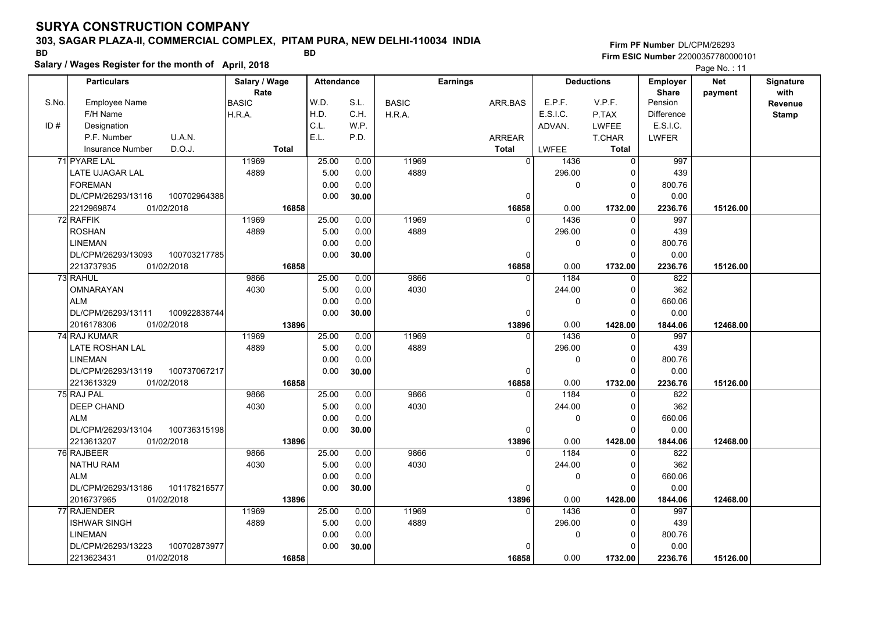## **303, SAGAR PLAZA-II, COMMERCIAL COMPLEX, PITAM PURA, NEW DELHI-110034 INDIA**

**Salary / Wages Register for the month of April, 2018 BD BD**

## **Firm PF Number**DL/CPM/26293**Firm ESIC Number** 22000357780000101

|       | <b>Particulars</b>                 | Salary / Wage<br>Rate | <b>Attendance</b> |       |              | <b>Earnings</b> |                        | <b>Deductions</b> | Employer<br><b>Share</b> | <b>Net</b> | Signature<br>with |
|-------|------------------------------------|-----------------------|-------------------|-------|--------------|-----------------|------------------------|-------------------|--------------------------|------------|-------------------|
| S.No. | Employee Name                      | <b>BASIC</b>          | W.D.              | S.L.  | <b>BASIC</b> | ARR BAS         | E.P.F.                 | V.P.F.            | Pension                  | payment    | Revenue           |
|       | F/H Name                           | H.R.A.                | H.D.              | C.H.  | H.R.A.       |                 | E.S.I.C.               | P.TAX             | Difference               |            | <b>Stamp</b>      |
| ID#   | Designation                        |                       | C.L.              | W.P.  |              |                 | ADVAN.                 | <b>LWFEE</b>      | E.S.I.C.                 |            |                   |
|       | U.A.N.<br>P.F. Number              |                       | E.L.              | P.D.  |              | <b>ARREAR</b>   |                        | T.CHAR            | <b>LWFER</b>             |            |                   |
|       | D.O.J.<br><b>Insurance Number</b>  | <b>Total</b>          |                   |       |              | Total           | <b>LWFEE</b>           | <b>Total</b>      |                          |            |                   |
|       | 71 PYARE LAL                       | 11969                 | 25.00             | 0.00  | 11969        |                 | $\overline{0}$<br>1436 | $\mathbf 0$       | 997                      |            |                   |
|       | LATE UJAGAR LAL                    | 4889                  | 5.00              | 0.00  | 4889         |                 | 296.00                 | $\Omega$          | 439                      |            |                   |
|       | <b>FOREMAN</b>                     |                       | 0.00              | 0.00  |              |                 | 0                      | $\Omega$          | 800.76                   |            |                   |
|       | 100702964388<br>DL/CPM/26293/13116 |                       | 0.00              | 30.00 |              |                 | 0                      | $\Omega$          | 0.00                     |            |                   |
|       | 2212969874<br>01/02/2018           | 16858                 |                   |       |              | 16858           | 0.00                   | 1732.00           | 2236.76                  | 15126.00   |                   |
|       | 72 RAFFIK                          | 11969                 | 25.00             | 0.00  | 11969        |                 | 1436<br>$\Omega$       | $\Omega$          | 997                      |            |                   |
|       | <b>ROSHAN</b>                      | 4889                  | 5.00              | 0.00  | 4889         |                 | 296.00                 | $\Omega$          | 439                      |            |                   |
|       | <b>LINEMAN</b>                     |                       | 0.00              | 0.00  |              |                 | 0                      | $\Omega$          | 800.76                   |            |                   |
|       | DL/CPM/26293/13093<br>100703217785 |                       | 0.00              | 30.00 |              |                 | 0                      | $\Omega$          | 0.00                     |            |                   |
|       | 01/02/2018<br>2213737935           | 16858                 |                   |       |              | 16858           | 0.00                   | 1732.00           | 2236.76                  | 15126.00   |                   |
|       | 73 RAHUL                           | 9866                  | 25.00             | 0.00  | 9866         |                 | 1184<br>$\Omega$       | $\mathbf 0$       | 822                      |            |                   |
|       | <b>OMNARAYAN</b>                   | 4030                  | 5.00              | 0.00  | 4030         |                 | 244.00                 | $\Omega$          | 362                      |            |                   |
|       | <b>ALM</b>                         |                       | 0.00              | 0.00  |              |                 | 0                      | $\Omega$          | 660.06                   |            |                   |
|       | DL/CPM/26293/13111<br>100922838744 |                       | 0.00              | 30.00 |              |                 | $\Omega$               | $\Omega$          | 0.00                     |            |                   |
|       | 01/02/2018<br>2016178306           | 13896                 |                   |       |              | 13896           | 0.00                   | 1428.00           | 1844.06                  | 12468.00   |                   |
|       | 74 RAJ KUMAR                       | 11969                 | 25.00             | 0.00  | 11969        |                 | $\Omega$<br>1436       | 0                 | 997                      |            |                   |
|       | LATE ROSHAN LAL                    | 4889                  | 5.00              | 0.00  | 4889         |                 | 296.00                 | 0                 | 439                      |            |                   |
|       | <b>LINEMAN</b>                     |                       | 0.00              | 0.00  |              |                 | 0                      | $\Omega$          | 800.76                   |            |                   |
|       | DL/CPM/26293/13119<br>100737067217 |                       | 0.00              | 30.00 |              |                 | $\Omega$               | $\Omega$          | 0.00                     |            |                   |
|       | 2213613329<br>01/02/2018           | 16858                 |                   |       |              | 16858           | 0.00                   | 1732.00           | 2236.76                  | 15126.00   |                   |
|       | 75 RAJ PAL                         | 9866                  | 25.00             | 0.00  | 9866         |                 | 1184<br>$\Omega$       | 0                 | 822                      |            |                   |
|       | <b>DEEP CHAND</b>                  | 4030                  | 5.00              | 0.00  | 4030         |                 | 244.00                 | $\Omega$          | 362                      |            |                   |
|       | <b>ALM</b>                         |                       | 0.00              | 0.00  |              |                 | 0                      | $\Omega$          | 660.06                   |            |                   |
|       | 100736315198<br>DL/CPM/26293/13104 |                       | 0.00              | 30.00 |              |                 | 0                      | $\Omega$          | 0.00                     |            |                   |
|       | 01/02/2018<br>2213613207           | 13896                 |                   |       |              | 13896           | 0.00                   | 1428.00           | 1844.06                  | 12468.00   |                   |
|       | 76 RAJBEER                         | 9866                  | 25.00             | 0.00  | 9866         |                 | 1184<br>$\Omega$       | $\Omega$          | 822                      |            |                   |
|       | <b>NATHU RAM</b>                   | 4030                  | 5.00              | 0.00  | 4030         |                 | 244.00                 | $\Omega$          | 362                      |            |                   |
|       | <b>ALM</b>                         |                       | 0.00              | 0.00  |              |                 | 0                      | $\Omega$          | 660.06                   |            |                   |
|       | 101178216577<br>DL/CPM/26293/13186 |                       | 0.00              | 30.00 |              |                 | 0                      | $\Omega$          | 0.00                     |            |                   |
|       | 2016737965<br>01/02/2018           | 13896                 |                   |       |              | 13896           | 0.00                   | 1428.00           | 1844.06                  | 12468.00   |                   |
|       | 77 RAJENDER                        | 11969                 | 25.00             | 0.00  | 11969        |                 | 1436<br>$\Omega$       | $\Omega$          | 997                      |            |                   |
|       | <b>ISHWAR SINGH</b>                | 4889                  | 5.00              | 0.00  | 4889         |                 | 296.00                 | 0                 | 439                      |            |                   |
|       | <b>LINEMAN</b>                     |                       | 0.00              | 0.00  |              |                 | 0                      | $\Omega$          | 800.76                   |            |                   |
|       | DL/CPM/26293/13223<br>100702873977 |                       | 0.00              | 30.00 |              |                 | $\Omega$               | $\Omega$          | 0.00                     |            |                   |
|       | 2213623431<br>01/02/2018           | 16858                 |                   |       |              | 16858           | 0.00                   | 1732.00           | 2236.76                  | 15126.00   |                   |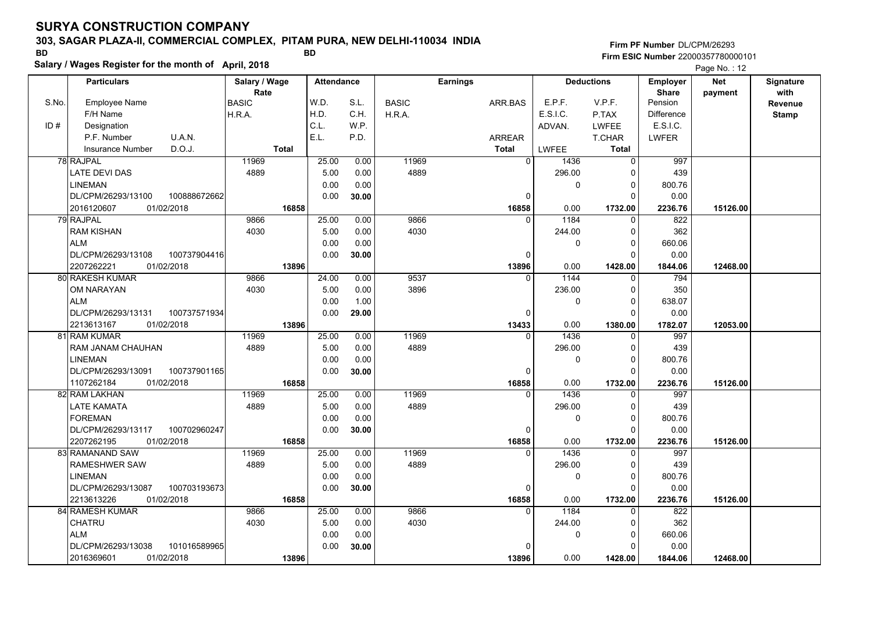## **303, SAGAR PLAZA-II, COMMERCIAL COMPLEX, PITAM PURA, NEW DELHI-110034 INDIA**

**Salary / Wages Register for the month of April, 2018 BD BD Firm PF Number**DL/CPM/26293**Firm ESIC Number** 22000357780000101

|       | Salary / Wages Register for the month of April, 2018 |               |                   |       |              |                 |             | Page No.: 12      |                 |            |                  |
|-------|------------------------------------------------------|---------------|-------------------|-------|--------------|-----------------|-------------|-------------------|-----------------|------------|------------------|
|       | <b>Particulars</b>                                   | Salary / Wage | <b>Attendance</b> |       |              | <b>Earnings</b> |             | <b>Deductions</b> | <b>Employer</b> | <b>Net</b> | <b>Signature</b> |
|       |                                                      | Rate          |                   |       |              |                 |             |                   | <b>Share</b>    | payment    | with             |
| S.No. | <b>Employee Name</b>                                 | <b>BASIC</b>  | W.D.              | S.L.  | <b>BASIC</b> | ARR.BAS         | E.P.F.      | V.P.F.            | Pension         |            | Revenue          |
|       | F/H Name                                             | H.R.A.        | H.D.              | C.H.  | H.R.A.       |                 | E.S.I.C.    | P.TAX             | Difference      |            | Stamp            |
| ID#   | Designation                                          |               | C.L.              | W.P.  |              |                 | ADVAN.      | <b>LWFEE</b>      | E.S.I.C.        |            |                  |
|       | U.A.N.<br>P.F. Number                                |               | E.L.              | P.D.  |              | ARREAR          |             | T.CHAR            | LWFER           |            |                  |
|       | D.O.J.<br>Insurance Number                           | <b>Total</b>  |                   |       |              | <b>Total</b>    | LWFEE       | <b>Total</b>      |                 |            |                  |
|       | 78 RAJPAL                                            | 11969         | 25.00             | 0.00  | 11969        | $\mathbf 0$     | 1436        | $\Omega$          | 997             |            |                  |
|       | <b>LATE DEVI DAS</b>                                 | 4889          | 5.00              | 0.00  | 4889         |                 | 296.00      |                   | 439             |            |                  |
|       | LINEMAN                                              |               | 0.00              | 0.00  |              |                 | 0           | <sup>0</sup>      | 800.76          |            |                  |
|       | DL/CPM/26293/13100<br>100888672662                   |               | 0.00              | 30.00 |              | $\mathbf 0$     |             |                   | 0.00            |            |                  |
|       | 01/02/2018<br>2016120607                             | 16858         |                   |       |              | 16858           | 0.00        | 1732.00           | 2236.76         | 15126.00   |                  |
|       | 79 RAJPAL                                            | 9866          | 25.00             | 0.00  | 9866         | $\Omega$        | 1184        |                   | 822             |            |                  |
|       | <b>RAM KISHAN</b>                                    | 4030          | 5.00              | 0.00  | 4030         |                 | 244.00      | ŋ                 | 362             |            |                  |
|       | <b>ALM</b>                                           |               | 0.00              | 0.00  |              |                 | 0           |                   | 660.06          |            |                  |
|       | DL/CPM/26293/13108<br>100737904416                   |               | 0.00              | 30.00 |              | $\mathbf 0$     |             |                   | 0.00            |            |                  |
|       | 2207262221<br>01/02/2018                             | 13896         |                   |       |              | 13896           | 0.00        | 1428.00           | 1844.06         | 12468.00   |                  |
|       | 80 RAKESH KUMAR                                      | 9866          | 24.00             | 0.00  | 9537         | $\Omega$        | 1144        | $\Omega$          | 794             |            |                  |
|       | OM NARAYAN                                           | 4030          | 5.00              | 0.00  | 3896         |                 | 236.00      | $\Omega$          | 350             |            |                  |
|       | <b>ALM</b>                                           |               | 0.00              | 1.00  |              |                 | 0           |                   | 638.07          |            |                  |
|       | DL/CPM/26293/13131<br>100737571934                   |               | 0.00              | 29.00 |              | 0               |             |                   | 0.00            |            |                  |
|       | 01/02/2018<br>2213613167                             | 13896         |                   |       |              | 13433           | 0.00        | 1380.00           | 1782.07         | 12053.00   |                  |
|       | 81 RAM KUMAR                                         | 11969         | 25.00             | 0.00  | 11969        | $\Omega$        | 1436        |                   | 997             |            |                  |
|       | RAM JANAM CHAUHAN                                    | 4889          | 5.00              | 0.00  | 4889         |                 | 296.00      |                   | 439             |            |                  |
|       | LINEMAN                                              |               | 0.00              | 0.00  |              |                 | 0           | <sup>0</sup>      | 800.76          |            |                  |
|       | 100737901165<br>DL/CPM/26293/13091                   |               | 0.00              | 30.00 |              | $\mathbf 0$     |             |                   | 0.00            |            |                  |
|       | 1107262184<br>01/02/2018                             | 16858         |                   |       |              | 16858           | 0.00        | 1732.00           | 2236.76         | 15126.00   |                  |
|       | 82 RAM LAKHAN                                        | 11969         | 25.00             | 0.00  | 11969        | $\Omega$        | 1436        |                   | 997             |            |                  |
|       | LATE KAMATA                                          | 4889          | 5.00              | 0.00  | 4889         |                 | 296.00      |                   | 439             |            |                  |
|       | <b>FOREMAN</b>                                       |               | 0.00              | 0.00  |              |                 | 0           |                   | 800.76          |            |                  |
|       | DL/CPM/26293/13117<br>100702960247                   |               | 0.00              | 30.00 |              | 0               |             |                   | 0.00            |            |                  |
|       | 2207262195<br>01/02/2018                             | 16858         |                   |       |              | 16858           | 0.00        | 1732.00           | 2236.76         | 15126.00   |                  |
|       | 83 RAMANAND SAW                                      | 11969         | 25.00             | 0.00  | 11969        | $\mathbf{0}$    | 1436        | $\Omega$          | 997             |            |                  |
|       | <b>RAMESHWER SAW</b>                                 | 4889          | 5.00              | 0.00  | 4889         |                 | 296.00      |                   | 439             |            |                  |
|       | <b>LINEMAN</b>                                       |               | 0.00              | 0.00  |              |                 | 0           |                   | 800.76          |            |                  |
|       | DL/CPM/26293/13087<br>100703193673                   |               | 0.00              | 30.00 |              | $\mathbf 0$     |             |                   | 0.00            |            |                  |
|       | 2213613226<br>01/02/2018                             | 16858         |                   |       |              | 16858           | 0.00        | 1732.00           | 2236.76         | 15126.00   |                  |
|       | 84 RAMESH KUMAR                                      | 9866          | 25.00             | 0.00  | 9866         | $\Omega$        | 1184        |                   | 822             |            |                  |
|       | CHATRU                                               | 4030          | 5.00              | 0.00  | 4030         |                 | 244.00      |                   | 362             |            |                  |
|       | <b>ALM</b>                                           |               | 0.00              | 0.00  |              |                 | $\mathbf 0$ | n                 | 660.06          |            |                  |
|       | DL/CPM/26293/13038<br>101016589965                   |               | 0.00              | 30.00 |              | 0               |             |                   | 0.00            |            |                  |
|       | 2016369601<br>01/02/2018                             | 13896         |                   |       |              | 13896           | 0.00        | 1428.00           | 1844.06         | 12468.00   |                  |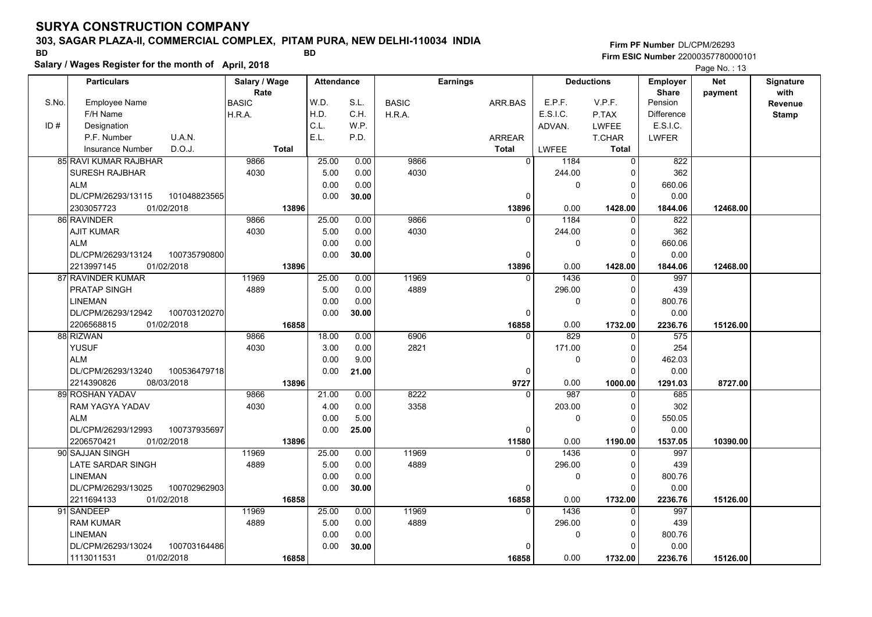## **303, SAGAR PLAZA-II, COMMERCIAL COMPLEX, PITAM PURA, NEW DELHI-110034 INDIA**

**Salary / Wages Register for the month of April, 2018 BD BD Firm PF Number**DL/CPM/26293**Firm ESIC Number** 22000357780000101

|       | <b>Particulars</b>                 | Salary / Wage<br><b>Attendance</b> |       | <b>Earnings</b> |              | <b>Deductions</b> |              | <b>Employer</b> | <b>Net</b>              | Signature |                 |
|-------|------------------------------------|------------------------------------|-------|-----------------|--------------|-------------------|--------------|-----------------|-------------------------|-----------|-----------------|
| S.No. | <b>Employee Name</b>               | Rate<br><b>BASIC</b>               | W.D.  | S.L.            | <b>BASIC</b> | ARR.BAS           | E.P.F.       | V.P.F.          | <b>Share</b><br>Pension | payment   | with<br>Revenue |
|       | F/H Name                           | H.R.A.                             | H.D.  | C.H.            | H.R.A.       |                   | E.S.I.C.     | P.TAX           | Difference              |           | <b>Stamp</b>    |
| ID#   | Designation                        |                                    | C.L.  | W.P.            |              |                   | ADVAN.       | LWFEE           | E.S.I.C.                |           |                 |
|       | U.A.N.<br>P.F. Number              |                                    | E.L.  | P.D.            |              | <b>ARREAR</b>     |              | <b>T.CHAR</b>   | <b>LWFER</b>            |           |                 |
|       | D.O.J.<br><b>Insurance Number</b>  | <b>Total</b>                       |       |                 |              | <b>Total</b>      | <b>LWFEE</b> | Total           |                         |           |                 |
|       | 85 RAVI KUMAR RAJBHAR              | 9866                               | 25.00 | 0.00            | 9866         | $\mathbf{0}$      | 1184         | 0               | 822                     |           |                 |
|       | <b>SURESH RAJBHAR</b>              | 4030                               | 5.00  | 0.00            | 4030         |                   | 244.00       | 0               | 362                     |           |                 |
|       | <b>ALM</b>                         |                                    | 0.00  | 0.00            |              |                   | $\mathbf{0}$ | $\Omega$        | 660.06                  |           |                 |
|       | 101048823565<br>DL/CPM/26293/13115 |                                    | 0.00  | 30.00           |              | $\Omega$          |              | $\Omega$        | 0.00                    |           |                 |
|       | 2303057723<br>01/02/2018           | 13896                              |       |                 |              | 13896             | 0.00         | 1428.00         | 1844.06                 | 12468.00  |                 |
|       | 86 RAVINDER                        | 9866                               | 25.00 | 0.00            | 9866         | O                 | 1184         | 0               | 822                     |           |                 |
|       | <b>AJIT KUMAR</b>                  | 4030                               | 5.00  | 0.00            | 4030         |                   | 244.00       | $\mathbf 0$     | 362                     |           |                 |
|       | <b>ALM</b>                         |                                    | 0.00  | 0.00            |              |                   | 0            | $\mathbf 0$     | 660.06                  |           |                 |
|       | DL/CPM/26293/13124<br>100735790800 |                                    | 0.00  | 30.00           |              | 0                 |              | $\mathbf 0$     | 0.00                    |           |                 |
|       | 2213997145<br>01/02/2018           | 13896                              |       |                 |              | 13896             | 0.00         | 1428.00         | 1844.06                 | 12468.00  |                 |
|       | 87 RAVINDER KUMAR                  | 11969                              | 25.00 | 0.00            | 11969        | $\Omega$          | 1436         | $\Omega$        | 997                     |           |                 |
|       | <b>PRATAP SINGH</b>                | 4889                               | 5.00  | 0.00            | 4889         |                   | 296.00       | $\mathbf 0$     | 439                     |           |                 |
|       | <b>LINEMAN</b>                     |                                    | 0.00  | 0.00            |              |                   | $\Omega$     | $\mathbf 0$     | 800.76                  |           |                 |
|       | DL/CPM/26293/12942<br>100703120270 |                                    | 0.00  | 30.00           |              | $\mathbf{0}$      |              | $\Omega$        | 0.00                    |           |                 |
|       | 2206568815<br>01/02/2018           | 16858                              |       |                 |              | 16858             | 0.00         | 1732.00         | 2236.76                 | 15126.00  |                 |
|       | 88 RIZWAN                          | 9866                               | 18.00 | 0.00            | 6906         | $\Omega$          | 829          | $\mathbf 0$     | $\overline{575}$        |           |                 |
|       | <b>YUSUF</b>                       | 4030                               | 3.00  | 0.00            | 2821         |                   | 171.00       | $\mathbf 0$     | 254                     |           |                 |
|       | <b>ALM</b>                         |                                    | 0.00  | 9.00            |              |                   | $\mathbf 0$  | $\mathbf 0$     | 462.03                  |           |                 |
|       | DL/CPM/26293/13240<br>100536479718 |                                    | 0.00  | 21.00           |              | $\mathbf 0$       |              | $\Omega$        | 0.00                    |           |                 |
|       | 08/03/2018<br>2214390826           | 13896                              |       |                 |              | 9727              | 0.00         | 1000.00         | 1291.03                 | 8727.00   |                 |
|       | 89 ROSHAN YADAV                    | 9866                               | 21.00 | 0.00            | 8222         | $\Omega$          | 987          | $\mathbf 0$     | 685                     |           |                 |
|       | RAM YAGYA YADAV                    | 4030                               | 4.00  | 0.00            | 3358         |                   | 203.00       | $\mathbf 0$     | 302                     |           |                 |
|       | ALM                                |                                    | 0.00  | 5.00            |              |                   | 0            | $\pmb{0}$       | 550.05                  |           |                 |
|       | DL/CPM/26293/12993<br>100737935697 |                                    | 0.00  | 25.00           |              | $\Omega$          |              | $\Omega$        | 0.00                    |           |                 |
|       | 2206570421<br>01/02/2018           | 13896                              |       |                 |              | 11580             | 0.00         | 1190.00         | 1537.05                 | 10390.00  |                 |
|       | 90 SAJJAN SINGH                    | 11969                              | 25.00 | 0.00            | 11969        | $\Omega$          | 1436         | $\mathbf 0$     | 997                     |           |                 |
|       | LATE SARDAR SINGH                  | 4889                               | 5.00  | 0.00            | 4889         |                   | 296.00       | 0               | 439                     |           |                 |
|       | <b>LINEMAN</b>                     |                                    | 0.00  | 0.00            |              |                   | $\Omega$     | $\mathbf 0$     | 800.76                  |           |                 |
|       | DL/CPM/26293/13025<br>100702962903 |                                    | 0.00  | 30.00           |              | $\Omega$          |              | $\Omega$        | 0.00                    |           |                 |
|       | 01/02/2018<br>2211694133           | 16858                              |       |                 |              | 16858             | 0.00         | 1732.00         | 2236.76                 | 15126.00  |                 |
|       | 91 SANDEEP                         | 11969                              | 25.00 | 0.00            | 11969        | $\Omega$          | 1436         | $\overline{0}$  | 997                     |           |                 |
|       | <b>RAM KUMAR</b>                   | 4889                               | 5.00  | 0.00            | 4889         |                   | 296.00       | $\mathbf 0$     | 439                     |           |                 |
|       | <b>LINEMAN</b>                     |                                    | 0.00  | 0.00            |              |                   | 0            | $\mathbf 0$     | 800.76                  |           |                 |
|       | DL/CPM/26293/13024<br>100703164486 |                                    | 0.00  | 30.00           |              | O                 |              | $\Omega$        | 0.00                    |           |                 |
|       | 01/02/2018<br>1113011531           | 16858                              |       |                 |              | 16858             | 0.00         | 1732.00         | 2236.76                 | 15126.00  |                 |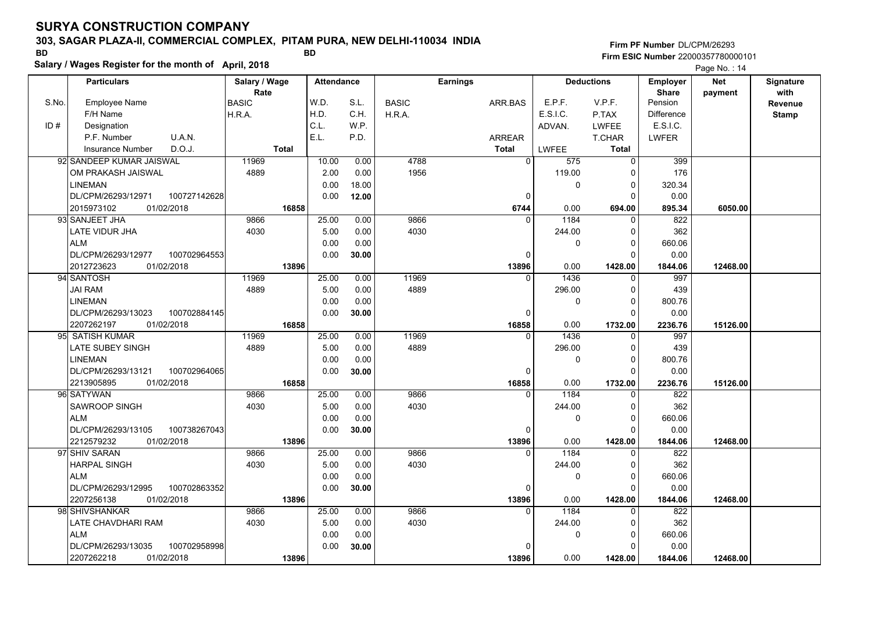## **303, SAGAR PLAZA-II, COMMERCIAL COMPLEX, PITAM PURA, NEW DELHI-110034 INDIA**

**Salary / Wages Register for the month of April, 2018 BD BD**

### **Firm PF Number**DL/CPM/26293**Firm ESIC Number** 22000357780000101

|       | <b>Particulars</b>                             | Salary / Wage        | <b>Attendance</b> |               | <b>Earnings</b> |                   | <b>Deductions</b> |                           | <b>Employer</b>         | <b>Net</b> | Signature       |
|-------|------------------------------------------------|----------------------|-------------------|---------------|-----------------|-------------------|-------------------|---------------------------|-------------------------|------------|-----------------|
| S.No. | Employee Name                                  | Rate<br><b>BASIC</b> | W.D.              | S.L.          | <b>BASIC</b>    | ARR.BAS           | E.P.F.            | V.P.F.                    | <b>Share</b><br>Pension | payment    | with<br>Revenue |
|       | F/H Name                                       | H.R.A.               | H.D.              | C.H.          | H.R.A.          |                   | E.S.I.C.          | P.TAX                     | <b>Difference</b>       |            | <b>Stamp</b>    |
| ID#   | Designation                                    |                      | C.L.              | W.P.          |                 |                   | ADVAN.            | <b>LWFEE</b>              | E.S.I.C.                |            |                 |
|       | U.A.N.<br>P.F. Number                          |                      | E.L.              | P.D.          |                 | <b>ARREAR</b>     |                   | T.CHAR                    | <b>LWFER</b>            |            |                 |
|       | D.O.J.<br><b>Insurance Number</b>              | <b>Total</b>         |                   |               |                 | <b>Total</b>      | LWFEE             | <b>Total</b>              |                         |            |                 |
|       | 92 SANDEEP KUMAR JAISWAL                       | 11969                | 10.00             | 0.00          | 4788            | $\mathbf 0$       | 575               | $\mathbf 0$               | 399                     |            |                 |
|       | OM PRAKASH JAISWAL                             | 4889                 | 2.00              | 0.00          | 1956            |                   | 119.00            | $\Omega$                  | 176                     |            |                 |
|       | <b>LINEMAN</b>                                 |                      | 0.00              | 18.00         |                 |                   | 0                 |                           | 320.34                  |            |                 |
|       | DL/CPM/26293/12971<br>100727142628             |                      | 0.00              | 12.00         |                 | $\mathbf 0$       |                   | 0<br>$\Omega$             | 0.00                    |            |                 |
|       | 2015973102<br>01/02/2018                       | 16858                |                   |               |                 | 6744              | 0.00              | 694.00                    | 895.34                  | 6050.00    |                 |
|       | 93 SANJEET JHA                                 | 9866                 | 25.00             | 0.00          | 9866            | $\Omega$          | 1184              | $\Omega$                  | 822                     |            |                 |
|       | LATE VIDUR JHA                                 | 4030                 | 5.00              | 0.00          | 4030            |                   | 244.00            | 0                         | 362                     |            |                 |
|       | <b>ALM</b>                                     |                      |                   |               |                 |                   | $\mathbf{0}$      | $\Omega$                  |                         |            |                 |
|       | DL/CPM/26293/12977<br>100702964553             |                      | 0.00<br>0.00      | 0.00<br>30.00 |                 | $\mathbf 0$       |                   | $\Omega$                  | 660.06<br>0.00          |            |                 |
|       | 2012723623<br>01/02/2018                       | 13896                |                   |               |                 | 13896             | 0.00              | 1428.00                   | 1844.06                 | 12468.00   |                 |
|       | 94 SANTOSH                                     | 11969                | 25.00             | 0.00          | 11969           | $\mathbf{0}$      | 1436              | $\Omega$                  | 997                     |            |                 |
|       | <b>JAI RAM</b>                                 | 4889                 | 5.00              | 0.00          | 4889            |                   | 296.00            | 0                         | 439                     |            |                 |
|       | <b>LINEMAN</b>                                 |                      | 0.00              | 0.00          |                 |                   | $\mathbf 0$       | $\Omega$                  | 800.76                  |            |                 |
|       | DL/CPM/26293/13023<br>100702884145             |                      | 0.00              |               |                 | $\Omega$          |                   | $\Omega$                  |                         |            |                 |
|       | 2207262197<br>01/02/2018                       | 16858                |                   | 30.00         |                 | 16858             | 0.00              | 1732.00                   | 0.00<br>2236.76         | 15126.00   |                 |
| 95    | <b>SATISH KUMAR</b>                            | 11969                | 25.00             | 0.00          | 11969           | $\Omega$          | 1436              | 0                         | 997                     |            |                 |
|       | LATE SUBEY SINGH                               | 4889                 | 5.00              | 0.00          | 4889            |                   | 296.00            | $\Omega$                  | 439                     |            |                 |
|       | <b>LINEMAN</b>                                 |                      | 0.00              | 0.00          |                 |                   | $\mathbf{0}$      | $\mathbf 0$               | 800.76                  |            |                 |
|       | DL/CPM/26293/13121<br>100702964065             |                      | 0.00              | 30.00         |                 | $\Omega$          |                   | $\Omega$                  | 0.00                    |            |                 |
|       | 2213905895<br>01/02/2018                       | 16858                |                   |               |                 | 16858             | 0.00              | 1732.00                   | 2236.76                 | 15126.00   |                 |
|       | 96 SATYWAN                                     | 9866                 | 25.00             | 0.00          | 9866            | $\Omega$          | 1184              | $\Omega$                  | 822                     |            |                 |
|       | <b>SAWROOP SINGH</b>                           | 4030                 | 5.00              | 0.00          | 4030            |                   | 244.00            | $\Omega$                  | 362                     |            |                 |
|       | <b>ALM</b>                                     |                      | 0.00              | 0.00          |                 |                   | 0                 | 0                         | 660.06                  |            |                 |
|       | DL/CPM/26293/13105<br>100738267043             |                      | 0.00              |               |                 |                   |                   | $\Omega$                  | 0.00                    |            |                 |
|       | 2212579232<br>01/02/2018                       | 13896                |                   | 30.00         |                 | 0<br>13896        | 0.00              | 1428.00                   | 1844.06                 | 12468.00   |                 |
|       | 97 SHIV SARAN                                  | 9866                 | 25.00             | 0.00          | 9866            | $\Omega$          | 1184              | $\Omega$                  | 822                     |            |                 |
|       | <b>HARPAL SINGH</b>                            | 4030                 | 5.00              | 0.00          | 4030            |                   | 244.00            | 0                         | 362                     |            |                 |
|       | <b>ALM</b>                                     |                      | 0.00              | 0.00          |                 |                   | $\mathbf 0$       | 0                         | 660.06                  |            |                 |
|       | 100702863352                                   |                      |                   |               |                 |                   |                   | $\Omega$                  |                         |            |                 |
|       | DL/CPM/26293/12995<br>2207256138<br>01/02/2018 |                      | 0.00              | 30.00         |                 | 0                 |                   |                           | 0.00                    |            |                 |
|       | 98 SHIVSHANKAR                                 | 13896<br>9866        | 25.00             | 0.00          | 9866            | 13896<br>$\Omega$ | 0.00<br>1184      | 1428.00<br>$\overline{0}$ | 1844.06<br>822          | 12468.00   |                 |
|       | LATE CHAVDHARI RAM                             | 4030                 | 5.00              | 0.00          | 4030            |                   | 244.00            |                           | 362                     |            |                 |
|       |                                                |                      |                   |               |                 |                   |                   | 0                         |                         |            |                 |
|       | <b>ALM</b>                                     |                      | 0.00              | 0.00          |                 |                   | $\mathbf 0$       | 0<br>$\Omega$             | 660.06                  |            |                 |
|       | DL/CPM/26293/13035<br>100702958998             |                      | 0.00              | 30.00         |                 | $\Omega$          |                   |                           | 0.00                    |            |                 |
|       | 2207262218<br>01/02/2018                       | 13896                |                   |               |                 | 13896             | 0.00              | 1428.00                   | 1844.06                 | 12468.00   |                 |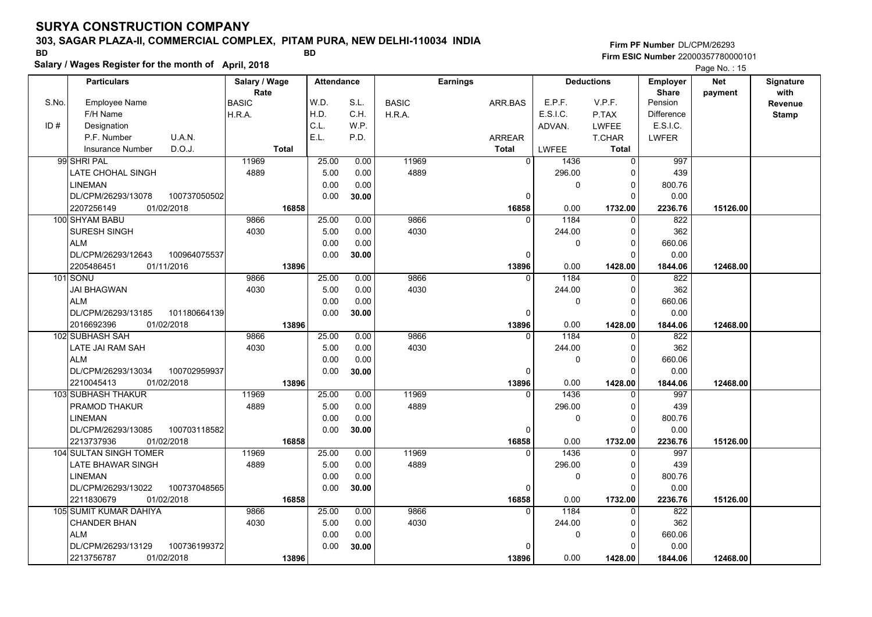## **303, SAGAR PLAZA-II, COMMERCIAL COMPLEX, PITAM PURA, NEW DELHI-110034 INDIA**

**Salary / Wages Register for the month of April, 2018 BD BD**

## **Firm PF Number**DL/CPM/26293**Firm ESIC Number** 22000357780000101

|       | <b>Particulars</b>        |              | Salary / Wage        |              | <b>Attendance</b> |       |              | <b>Earnings</b> |                      | <b>Deductions</b> | <b>Employer</b>         | <b>Net</b> | Signature       |
|-------|---------------------------|--------------|----------------------|--------------|-------------------|-------|--------------|-----------------|----------------------|-------------------|-------------------------|------------|-----------------|
| S.No. | Employee Name             |              | Rate<br><b>BASIC</b> |              | W.D.              | S.L.  | <b>BASIC</b> | ARR.BAS         | E.P.F.               | V.P.F.            | <b>Share</b><br>Pension | payment    | with<br>Revenue |
|       | F/H Name                  |              | H.R.A.               |              | H.D.              | C.H.  | H.R.A.       |                 | E.S.I.C.             | P.TAX             | <b>Difference</b>       |            | <b>Stamp</b>    |
| ID#   | Designation               |              |                      |              | C.L.              | W.P.  |              |                 | ADVAN.               | <b>LWFEE</b>      | E.S.I.C.                |            |                 |
|       | P.F. Number               | U.A.N.       |                      |              | E.L.              | P.D.  |              | <b>ARREAR</b>   |                      | T.CHAR            | <b>LWFER</b>            |            |                 |
|       | <b>Insurance Number</b>   | D.O.J.       |                      | <b>Total</b> |                   |       |              | <b>Total</b>    | LWFEE                | <b>Total</b>      |                         |            |                 |
|       | 99 SHRI PAL               |              | 11969                |              | 25.00             | 0.00  | 11969        |                 | $\mathbf 0$<br>1436  | $\mathbf 0$       | 997                     |            |                 |
|       | LATE CHOHAL SINGH         |              | 4889                 |              | 5.00              | 0.00  | 4889         |                 | 296.00               | $\Omega$          | 439                     |            |                 |
|       | LINEMAN                   |              |                      |              | 0.00              | 0.00  |              |                 | 0                    | 0                 | 800.76                  |            |                 |
|       | DL/CPM/26293/13078        | 100737050502 |                      |              | 0.00              | 30.00 |              |                 | $\mathbf 0$          | $\Omega$          | 0.00                    |            |                 |
|       | 2207256149<br>01/02/2018  |              |                      | 16858        |                   |       |              | 16858           | 0.00                 | 1732.00           | 2236.76                 | 15126.00   |                 |
|       | 100 SHYAM BABU            |              | 9866                 |              | 25.00             | 0.00  | 9866         |                 | 1184<br>$\mathbf{0}$ | $\Omega$          | 822                     |            |                 |
|       | SURESH SINGH              |              | 4030                 |              | 5.00              | 0.00  | 4030         |                 | 244.00               | 0                 | 362                     |            |                 |
|       | <b>ALM</b>                |              |                      |              | 0.00              | 0.00  |              |                 | $\mathbf{0}$         | $\Omega$          | 660.06                  |            |                 |
|       | DL/CPM/26293/12643        | 100964075537 |                      |              | 0.00              | 30.00 |              |                 | $\mathbf{0}$         | $\Omega$          | 0.00                    |            |                 |
|       | 01/11/2016<br>2205486451  |              |                      | 13896        |                   |       |              | 13896           | 0.00                 | 1428.00           | 1844.06                 | 12468.00   |                 |
|       | 101 SONU                  |              | 9866                 |              | 25.00             | 0.00  | 9866         |                 | 1184<br>$\mathbf{0}$ | $\Omega$          | 822                     |            |                 |
|       | <b>JAI BHAGWAN</b>        |              | 4030                 |              | 5.00              | 0.00  | 4030         |                 | 244.00               | 0                 | 362                     |            |                 |
|       | <b>ALM</b>                |              |                      |              | 0.00              | 0.00  |              |                 | $\mathbf 0$          | $\Omega$          | 660.06                  |            |                 |
|       | DL/CPM/26293/13185        | 101180664139 |                      |              | 0.00              | 30.00 |              |                 | $\Omega$             | $\Omega$          | 0.00                    |            |                 |
|       | 2016692396<br>01/02/2018  |              |                      | 13896        |                   |       |              | 13896           | 0.00                 | 1428.00           | 1844.06                 | 12468.00   |                 |
|       | 102 SUBHASH SAH           |              | 9866                 |              | 25.00             | 0.00  | 9866         |                 | 1184<br>$\Omega$     | 0                 | 822                     |            |                 |
|       | LATE JAI RAM SAH          |              | 4030                 |              | 5.00              | 0.00  | 4030         |                 | 244.00               | $\Omega$          | 362                     |            |                 |
|       | <b>ALM</b>                |              |                      |              | 0.00              | 0.00  |              |                 | $\mathbf{0}$         | $\mathbf{0}$      | 660.06                  |            |                 |
|       | DL/CPM/26293/13034        | 100702959937 |                      |              | 0.00              | 30.00 |              |                 | 0                    | $\Omega$          | 0.00                    |            |                 |
|       | 01/02/2018<br>2210045413  |              |                      | 13896        |                   |       |              | 13896           | 0.00                 | 1428.00           | 1844.06                 | 12468.00   |                 |
|       | <b>103 SUBHASH THAKUR</b> |              | 11969                |              | 25.00             | 0.00  | 11969        |                 | 1436<br>$\Omega$     | $\Omega$          | 997                     |            |                 |
|       | PRAMOD THAKUR             |              | 4889                 |              | 5.00              | 0.00  | 4889         |                 | 296.00               | $\Omega$          | 439                     |            |                 |
|       | LINEMAN                   |              |                      |              | 0.00              | 0.00  |              |                 | 0                    | 0                 | 800.76                  |            |                 |
|       | DL/CPM/26293/13085        | 100703118582 |                      |              | 0.00              | 30.00 |              |                 | 0                    | 0                 | 0.00                    |            |                 |
|       | 2213737936<br>01/02/2018  |              |                      | 16858        |                   |       |              | 16858           | 0.00                 | 1732.00           | 2236.76                 | 15126.00   |                 |
|       | 104 SULTAN SINGH TOMER    |              | 11969                |              | 25.00             | 0.00  | 11969        |                 | 1436<br>$\Omega$     | $\Omega$          | 997                     |            |                 |
|       | LATE BHAWAR SINGH         |              | 4889                 |              | 5.00              | 0.00  | 4889         |                 | 296.00               | 0                 | 439                     |            |                 |
|       | <b>LINEMAN</b>            |              |                      |              | 0.00              | 0.00  |              |                 | 0                    | 0                 | 800.76                  |            |                 |
|       | DL/CPM/26293/13022        | 100737048565 |                      |              | 0.00              | 30.00 |              |                 | 0                    | $\Omega$          | 0.00                    |            |                 |
|       | 2211830679<br>01/02/2018  |              |                      | 16858        |                   |       |              | 16858           | 0.00                 | 1732.00           | 2236.76                 | 15126.00   |                 |
|       | 105 SUMIT KUMAR DAHIYA    |              | 9866                 |              | 25.00             | 0.00  | 9866         |                 | 1184<br>$\Omega$     | $\overline{0}$    | 822                     |            |                 |
|       | <b>CHANDER BHAN</b>       |              | 4030                 |              | 5.00              | 0.00  | 4030         |                 | 244.00               | $\Omega$          | 362                     |            |                 |
|       | <b>ALM</b>                |              |                      |              | 0.00              | 0.00  |              |                 | $\mathbf 0$          | 0                 | 660.06                  |            |                 |
|       | DL/CPM/26293/13129        | 100736199372 |                      |              | 0.00              | 30.00 |              |                 | $\Omega$             | $\Omega$          | 0.00                    |            |                 |
|       | 01/02/2018<br>2213756787  |              |                      | 13896        |                   |       |              | 13896           | 0.00                 | 1428.00           | 1844.06                 | 12468.00   |                 |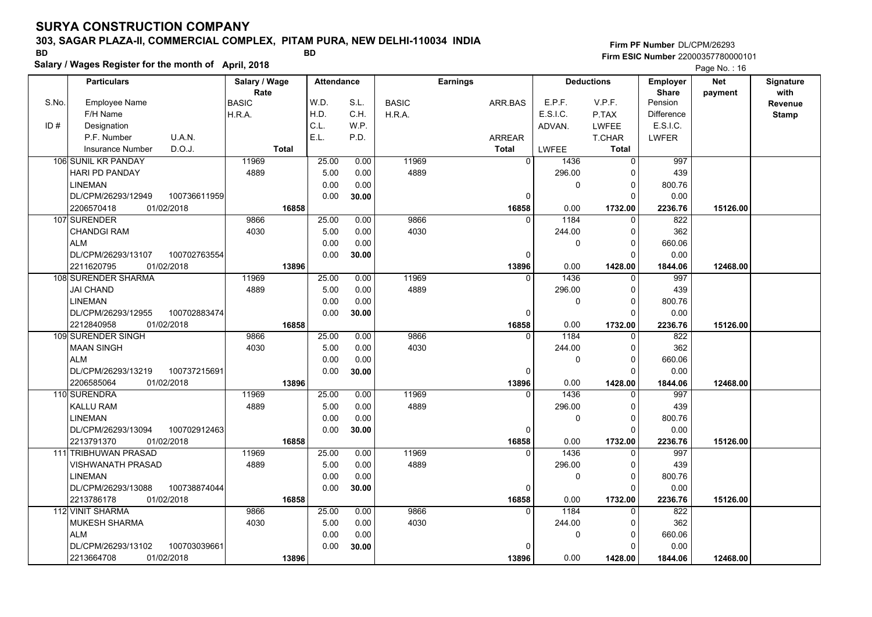## **303, SAGAR PLAZA-II, COMMERCIAL COMPLEX, PITAM PURA, NEW DELHI-110034 INDIA**

**Salary / Wages Register for the month of April, 2018 BD BD**

### **Firm PF Number**DL/CPM/26293**Firm ESIC Number** 22000357780000101

|       | <b>Particulars</b>                 |                      | Salary / Wage |       | <b>Attendance</b> |              |               | <b>Earnings</b>      |              | <b>Deductions</b>       | <b>Employer</b> | <b>Net</b>      | Signature |
|-------|------------------------------------|----------------------|---------------|-------|-------------------|--------------|---------------|----------------------|--------------|-------------------------|-----------------|-----------------|-----------|
| S.No. | <b>Employee Name</b>               | Rate<br><b>BASIC</b> |               | W.D.  | S.L.              | <b>BASIC</b> | ARR.BAS       | E.P.F.               | V.P.F.       | <b>Share</b><br>Pension | payment         | with<br>Revenue |           |
|       | F/H Name                           | H.R.A.               |               | H.D.  | C.H.              | H.R.A.       |               | E.S.I.C.             | P.TAX        | Difference              |                 | <b>Stamp</b>    |           |
| ID#   | Designation                        |                      |               | C.L.  | W.P.              |              |               | ADVAN.               | <b>LWFEE</b> | E.S.I.C.                |                 |                 |           |
|       | U.A.N.<br>P.F. Number              |                      |               | E.L.  | P.D.              |              | <b>ARREAR</b> |                      | T.CHAR       | <b>LWFER</b>            |                 |                 |           |
|       | D.O.J.<br>Insurance Number         |                      | <b>Total</b>  |       |                   |              | <b>Total</b>  | LWFEE                | <b>Total</b> |                         |                 |                 |           |
|       | 106 SUNIL KR PANDAY                | 11969                |               | 25.00 | 0.00              | 11969        |               | $\mathbf{0}$<br>1436 | $\Omega$     | 997                     |                 |                 |           |
|       | <b>HARI PD PANDAY</b>              | 4889                 |               | 5.00  | 0.00              | 4889         |               | 296.00               | 0            | 439                     |                 |                 |           |
|       | <b>LINEMAN</b>                     |                      |               | 0.00  | 0.00              |              |               | 0                    | 0            | 800.76                  |                 |                 |           |
|       | DL/CPM/26293/12949<br>100736611959 |                      |               | 0.00  | 30.00             |              |               | $\Omega$             | $\Omega$     | 0.00                    |                 |                 |           |
|       | 2206570418<br>01/02/2018           |                      | 16858         |       |                   |              | 16858         | 0.00                 | 1732.00      | 2236.76                 | 15126.00        |                 |           |
|       | 107 SURENDER                       | 9866                 |               | 25.00 | 0.00              | 9866         |               | 1184<br>$\Omega$     | $\Omega$     | 822                     |                 |                 |           |
|       | <b>CHANDGI RAM</b>                 | 4030                 |               | 5.00  | 0.00              | 4030         |               | 244.00               | 0            | 362                     |                 |                 |           |
|       | <b>ALM</b>                         |                      |               | 0.00  | 0.00              |              |               | 0                    | 0            | 660.06                  |                 |                 |           |
|       | DL/CPM/26293/13107<br>100702763554 |                      |               | 0.00  | 30.00             |              |               | $\Omega$             | $\Omega$     | 0.00                    |                 |                 |           |
|       | 2211620795<br>01/02/2018           |                      | 13896         |       |                   |              | 13896         | 0.00                 | 1428.00      | 1844.06                 | 12468.00        |                 |           |
|       | 108 SURENDER SHARMA                | 11969                |               | 25.00 | 0.00              | 11969        |               | 1436                 | $\Omega$     | 997                     |                 |                 |           |
|       | <b>JAI CHAND</b>                   | 4889                 |               | 5.00  | 0.00              | 4889         |               | 296.00               | $\Omega$     | 439                     |                 |                 |           |
|       | <b>LINEMAN</b>                     |                      |               | 0.00  | 0.00              |              |               | 0                    | $\Omega$     | 800.76                  |                 |                 |           |
|       | DL/CPM/26293/12955<br>100702883474 |                      |               | 0.00  | 30.00             |              |               | $\Omega$             | $\Omega$     | 0.00                    |                 |                 |           |
|       | 01/02/2018<br>2212840958           |                      | 16858         |       |                   |              | 16858         | 0.00                 | 1732.00      | 2236.76                 | 15126.00        |                 |           |
|       | 109 SURENDER SINGH                 | 9866                 |               | 25.00 | 0.00              | 9866         |               | 1184<br>$\Omega$     | 0            | $\overline{822}$        |                 |                 |           |
|       | <b>MAAN SINGH</b>                  | 4030                 |               | 5.00  | 0.00              | 4030         |               | 244.00               | $\Omega$     | 362                     |                 |                 |           |
|       | <b>ALM</b>                         |                      |               | 0.00  | 0.00              |              |               | 0                    | 0            | 660.06                  |                 |                 |           |
|       | DL/CPM/26293/13219<br>100737215691 |                      |               | 0.00  | 30.00             |              |               | $\Omega$             | $\Omega$     | 0.00                    |                 |                 |           |
|       | 2206585064<br>01/02/2018           |                      | 13896         |       |                   |              | 13896         | 0.00                 | 1428.00      | 1844.06                 | 12468.00        |                 |           |
|       | 110 SURENDRA                       | 11969                |               | 25.00 | 0.00              | 11969        |               | 1436<br>$\Omega$     | $\Omega$     | 997                     |                 |                 |           |
|       | <b>KALLU RAM</b>                   | 4889                 |               | 5.00  | 0.00              | 4889         |               | 296.00               | $\Omega$     | 439                     |                 |                 |           |
|       | <b>LINEMAN</b>                     |                      |               | 0.00  | 0.00              |              |               | 0                    | 0            | 800.76                  |                 |                 |           |
|       | DL/CPM/26293/13094<br>100702912463 |                      |               | 0.00  | 30.00             |              |               | $\Omega$             | $\Omega$     | 0.00                    |                 |                 |           |
|       | 2213791370<br>01/02/2018           |                      | 16858         |       |                   |              | 16858         | 0.00                 | 1732.00      | 2236.76                 | 15126.00        |                 |           |
|       | 111 TRIBHUWAN PRASAD               | 11969                |               | 25.00 | 0.00              | 11969        |               | 1436<br>$\Omega$     | $\Omega$     | 997                     |                 |                 |           |
|       | VISHWANATH PRASAD                  | 4889                 |               | 5.00  | 0.00              | 4889         |               | 296.00               | $\Omega$     | 439                     |                 |                 |           |
|       | <b>LINEMAN</b>                     |                      |               | 0.00  | 0.00              |              |               | 0                    | 0            | 800.76                  |                 |                 |           |
|       | 100738874044<br>DL/CPM/26293/13088 |                      |               | 0.00  | 30.00             |              |               | 0                    | $\Omega$     | 0.00                    |                 |                 |           |
|       | 2213786178<br>01/02/2018           |                      | 16858         |       |                   |              | 16858         | 0.00                 | 1732.00      | 2236.76                 | 15126.00        |                 |           |
|       | 112 VINIT SHARMA                   | 9866                 |               | 25.00 | 0.00              | 9866         |               | 1184<br>$\Omega$     | $\Omega$     | 822                     |                 |                 |           |
|       | <b>MUKESH SHARMA</b>               | 4030                 |               | 5.00  | 0.00              | 4030         |               | 244.00               | $\Omega$     | 362                     |                 |                 |           |
|       | <b>ALM</b>                         |                      |               | 0.00  | 0.00              |              |               | 0                    | 0            | 660.06                  |                 |                 |           |
|       | DL/CPM/26293/13102<br>100703039661 |                      |               | 0.00  | 30.00             |              |               |                      | n            | 0.00                    |                 |                 |           |
|       | 01/02/2018<br>2213664708           |                      | 13896         |       |                   |              | 13896         | 0.00                 | 1428.00      | 1844.06                 | 12468.00        |                 |           |